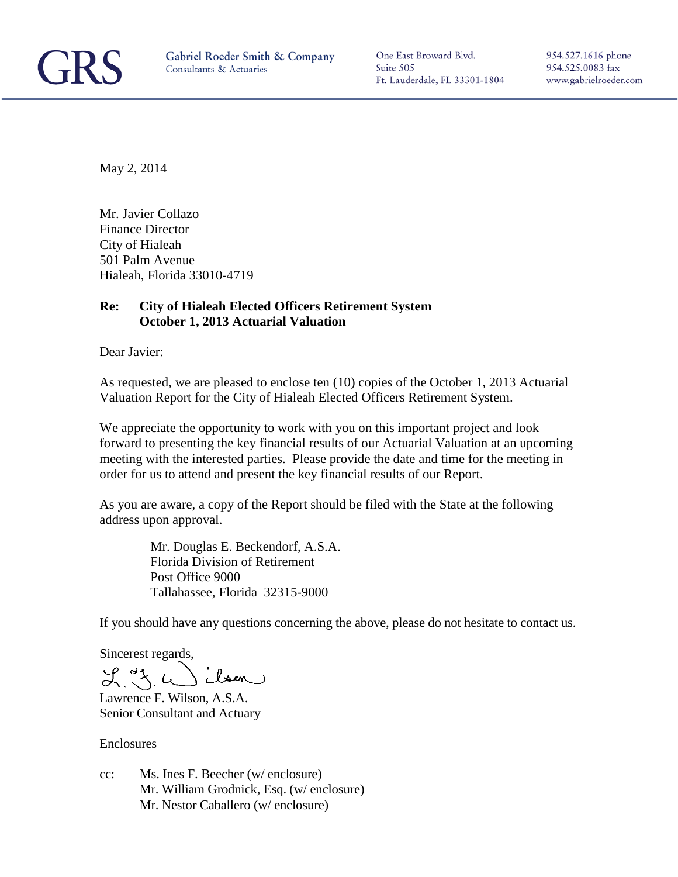

One East Broward Blvd. Suite 505 Ft. Lauderdale, FL 33301-1804 954.527.1616 phone 954.525.0083 fax www.gabrielroeder.com

May 2, 2014

Mr. Javier Collazo Finance Director City of Hialeah 501 Palm Avenue Hialeah, Florida 33010-4719

#### **Re: City of Hialeah Elected Officers Retirement System October 1, 2013 Actuarial Valuation**

Dear Javier:

As requested, we are pleased to enclose ten (10) copies of the October 1, 2013 Actuarial Valuation Report for the City of Hialeah Elected Officers Retirement System.

We appreciate the opportunity to work with you on this important project and look forward to presenting the key financial results of our Actuarial Valuation at an upcoming meeting with the interested parties. Please provide the date and time for the meeting in order for us to attend and present the key financial results of our Report.

As you are aware, a copy of the Report should be filed with the State at the following address upon approval.

> Mr. Douglas E. Beckendorf, A.S.A. Florida Division of Retirement Post Office 9000 Tallahassee, Florida 32315-9000

If you should have any questions concerning the above, please do not hesitate to contact us.

Sincerest regards,

 $27.4$ 

Lawrence F. Wilson, A.S.A. Senior Consultant and Actuary

Enclosures

cc: Ms. Ines F. Beecher (w/ enclosure) Mr. William Grodnick, Esq. (w/ enclosure) Mr. Nestor Caballero (w/ enclosure)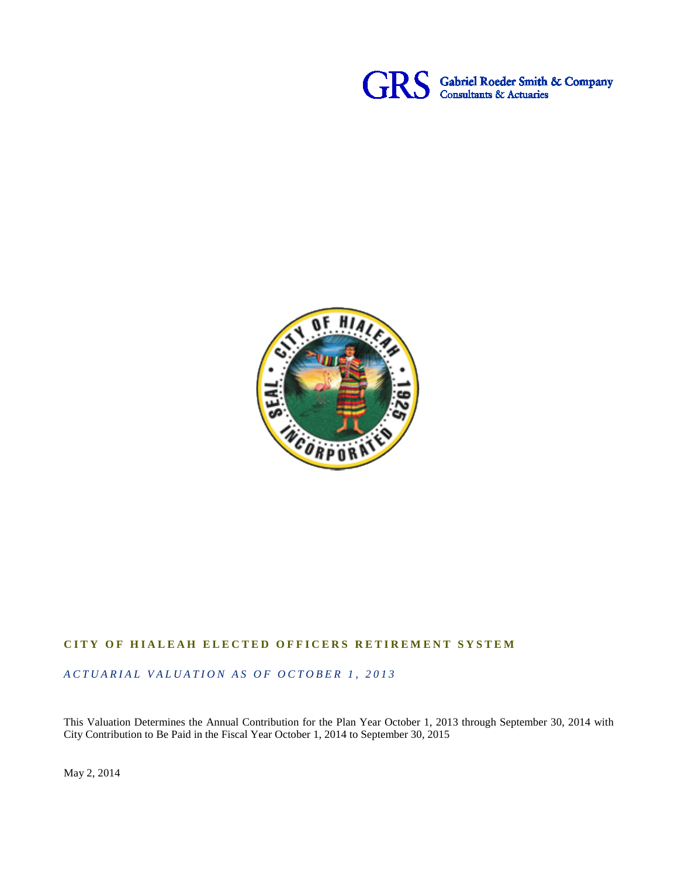



#### **CITY OF HIALEAH ELEC TED OFFICERS RETIREM ENT SYSTEM**

*ACTUARIAL VALUATION AS OF OCTOBER 1, 20 1 3*

This Valuation Determines the Annual Contribution for the Plan Year October 1, 2013 through September 30, 2014 with City Contribution to Be Paid in the Fiscal Year October 1, 2014 to September 30, 2015

May 2, 2014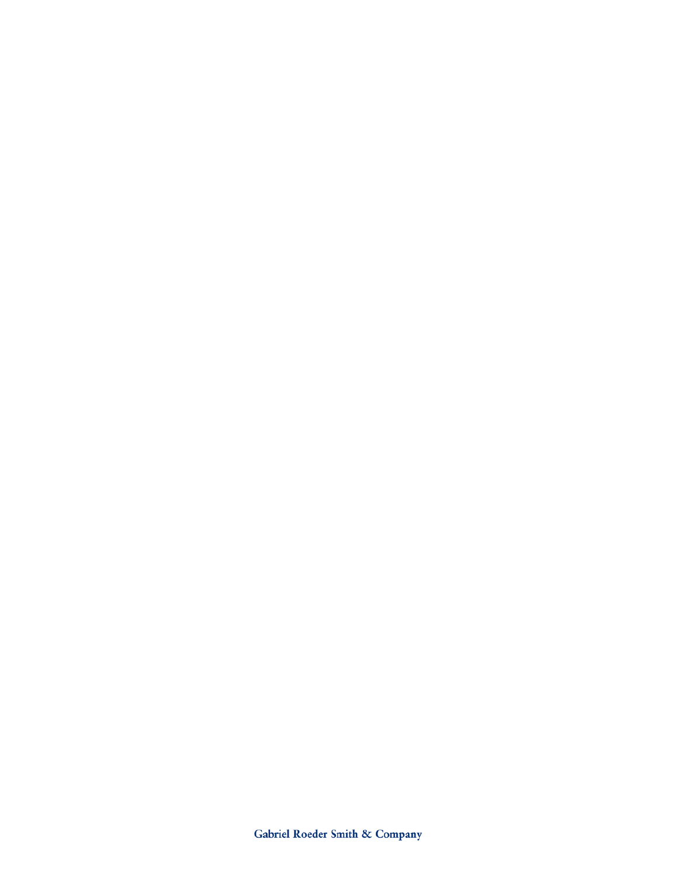Gabriel Roeder Smith & Company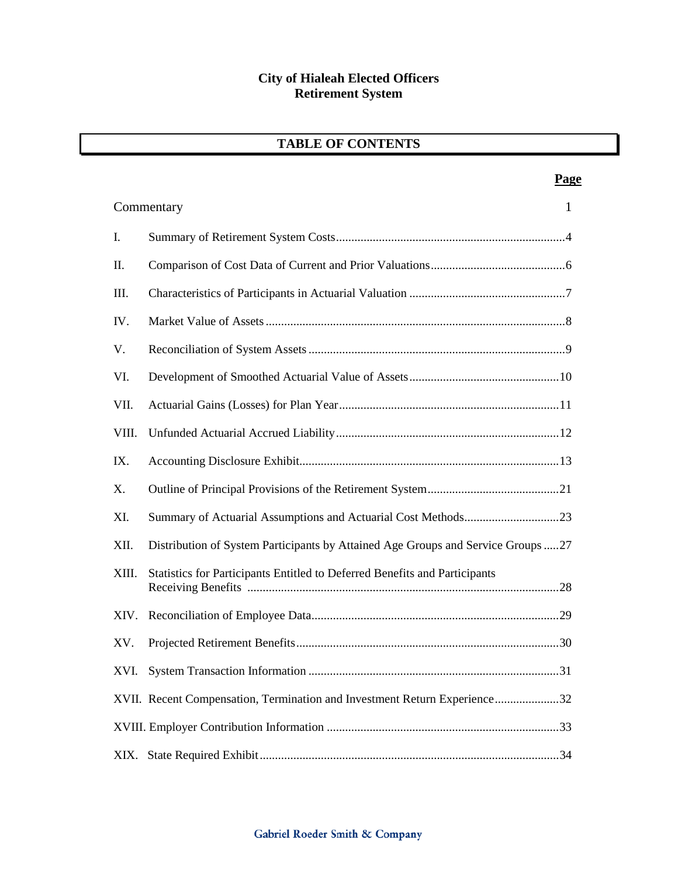## **TABLE OF CONTENTS**

|       | Page                                                                             |
|-------|----------------------------------------------------------------------------------|
|       | Commentary<br>1                                                                  |
| I.    |                                                                                  |
| П.    |                                                                                  |
| Ш.    |                                                                                  |
| IV.   |                                                                                  |
| V.    |                                                                                  |
| VI.   |                                                                                  |
| VII.  |                                                                                  |
| VIII. |                                                                                  |
| IX.   |                                                                                  |
| X.    |                                                                                  |
| XI.   |                                                                                  |
| XII.  | Distribution of System Participants by Attained Age Groups and Service Groups 27 |
| XIII. | Statistics for Participants Entitled to Deferred Benefits and Participants       |
|       |                                                                                  |
| XV.   |                                                                                  |
|       |                                                                                  |
|       | XVII. Recent Compensation, Termination and Investment Return Experience32        |
|       |                                                                                  |
| XIX.  |                                                                                  |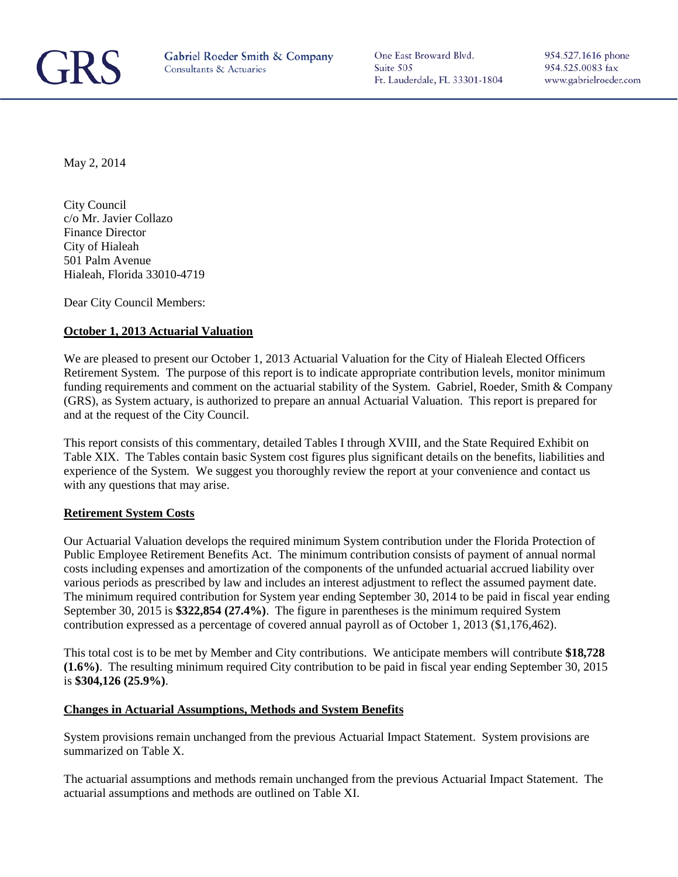

One East Broward Blvd. Suite 505 Ft. Lauderdale, FL 33301-1804

954.527.1616 phone 954.525.0083 fax www.gabrielroeder.com

May 2, 2014

City Council c/o Mr. Javier Collazo Finance Director City of Hialeah 501 Palm Avenue Hialeah, Florida 33010-4719

Dear City Council Members:

#### **October 1, 2013 Actuarial Valuation**

We are pleased to present our October 1, 2013 Actuarial Valuation for the City of Hialeah Elected Officers Retirement System. The purpose of this report is to indicate appropriate contribution levels, monitor minimum funding requirements and comment on the actuarial stability of the System. Gabriel, Roeder, Smith & Company (GRS), as System actuary, is authorized to prepare an annual Actuarial Valuation. This report is prepared for and at the request of the City Council.

This report consists of this commentary, detailed Tables I through XVIII, and the State Required Exhibit on Table XIX. The Tables contain basic System cost figures plus significant details on the benefits, liabilities and experience of the System. We suggest you thoroughly review the report at your convenience and contact us with any questions that may arise.

#### **Retirement System Costs**

Our Actuarial Valuation develops the required minimum System contribution under the Florida Protection of Public Employee Retirement Benefits Act. The minimum contribution consists of payment of annual normal costs including expenses and amortization of the components of the unfunded actuarial accrued liability over various periods as prescribed by law and includes an interest adjustment to reflect the assumed payment date. The minimum required contribution for System year ending September 30, 2014 to be paid in fiscal year ending September 30, 2015 is **\$322,854 (27.4%)**. The figure in parentheses is the minimum required System contribution expressed as a percentage of covered annual payroll as of October 1, 2013 (\$1,176,462).

This total cost is to be met by Member and City contributions. We anticipate members will contribute **\$18,728 (1.6%)**. The resulting minimum required City contribution to be paid in fiscal year ending September 30, 2015 is **\$304,126 (25.9%)**.

#### **Changes in Actuarial Assumptions, Methods and System Benefits**

System provisions remain unchanged from the previous Actuarial Impact Statement. System provisions are summarized on Table X.

The actuarial assumptions and methods remain unchanged from the previous Actuarial Impact Statement. The actuarial assumptions and methods are outlined on Table XI.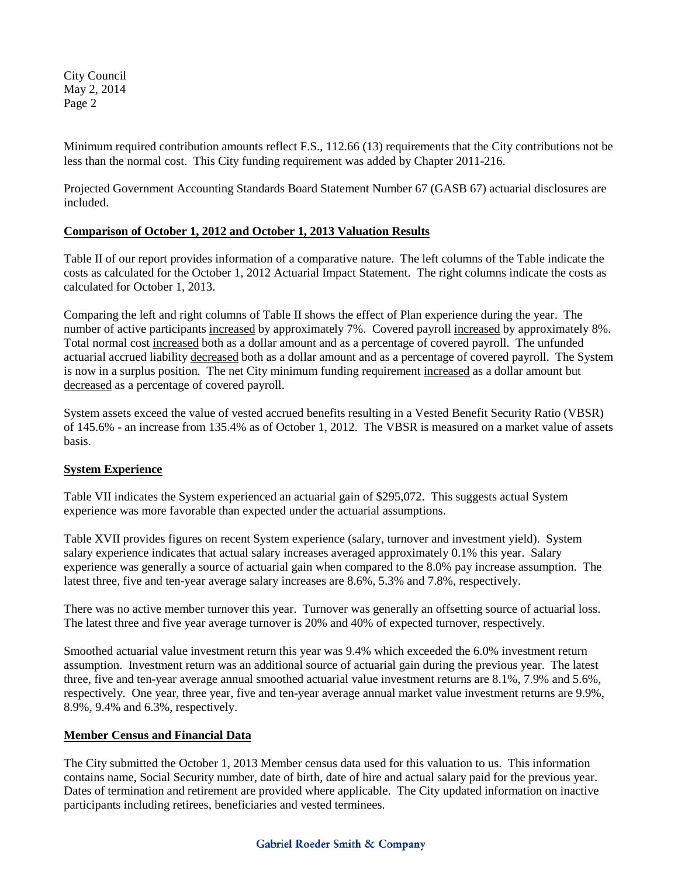City Council May 2, 2014 Page 2

Minimum required contribution amounts reflect F.S., 112.66 (13) requirements that the City contributions not be less than the normal cost. This City funding requirement was added by Chapter 2011-216.

Projected Government Accounting Standards Board Statement Number 67 (GASB 67) actuarial disclosures are included.

#### **Comparison of October 1, 2012 and October 1, 2013 Valuation Results**

Table II of our report provides information of a comparative nature. The left columns of the Table indicate the costs as calculated for the October 1, 2012 Actuarial Impact Statement. The right columns indicate the costs as calculated for October 1, 2013.

Comparing the left and right columns of Table II shows the effect of Plan experience during the year. The number of active participants increased by approximately 7%. Covered payroll increased by approximately 8%. Total normal cost increased both as a dollar amount and as a percentage of covered payroll. The unfunded actuarial accrued liability decreased both as a dollar amount and as a percentage of covered payroll. The System is now in a surplus position. The net City minimum funding requirement increased as a dollar amount but decreased as a percentage of covered payroll.

System assets exceed the value of vested accrued benefits resulting in a Vested Benefit Security Ratio (VBSR) of 145.6% - an increase from 135.4% as of October 1, 2012. The VBSR is measured on a market value of assets basis.

#### **System Experience**

Table VII indicates the System experienced an actuarial gain of \$295,072. This suggests actual System experience was more favorable than expected under the actuarial assumptions.

Table XVII provides figures on recent System experience (salary, turnover and investment yield). System salary experience indicates that actual salary increases averaged approximately 0.1% this year. Salary experience was generally a source of actuarial gain when compared to the 8.0% pay increase assumption. The latest three, five and ten-year average salary increases are 8.6%, 5.3% and 7.8%, respectively.

There was no active member turnover this year. Turnover was generally an offsetting source of actuarial loss. The latest three and five year average turnover is 20% and 40% of expected turnover, respectively.

Smoothed actuarial value investment return this year was 9.4% which exceeded the 6.0% investment return assumption. Investment return was an additional source of actuarial gain during the previous year. The latest three, five and ten-year average annual smoothed actuarial value investment returns are 8.1%, 7.9% and 5.6%, respectively. One year, three year, five and ten-year average annual market value investment returns are 9.9%, 8.9%, 9.4% and 6.3%, respectively.

#### **Member Census and Financial Data**

The City submitted the October 1, 2013 Member census data used for this valuation to us. This information contains name, Social Security number, date of birth, date of hire and actual salary paid for the previous year. Dates of termination and retirement are provided where applicable. The City updated information on inactive participants including retirees, beneficiaries and vested terminees.

#### **Gabriel Roeder Smith & Company**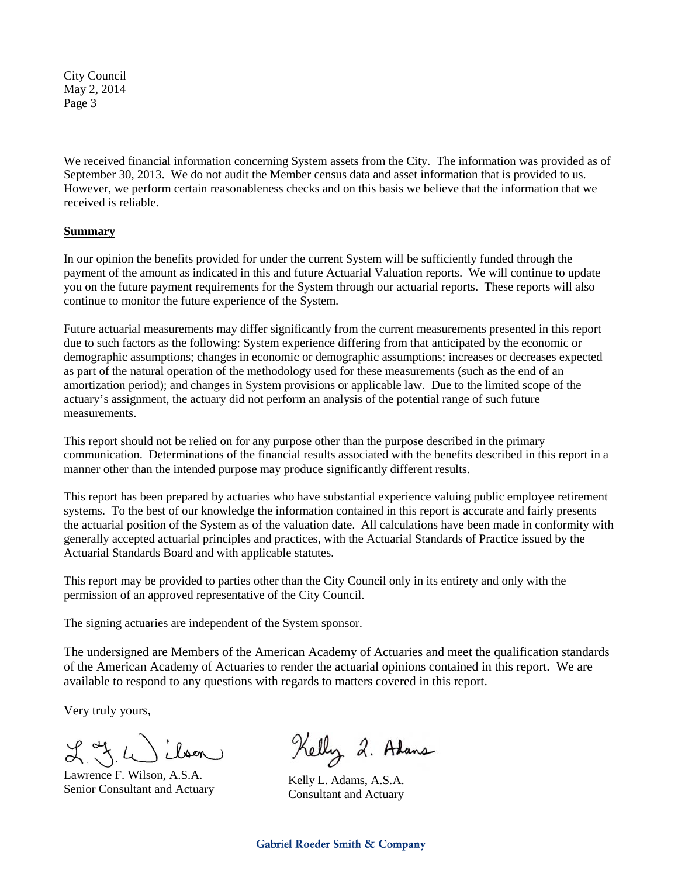City Council May 2, 2014 Page 3

We received financial information concerning System assets from the City. The information was provided as of September 30, 2013. We do not audit the Member census data and asset information that is provided to us. However, we perform certain reasonableness checks and on this basis we believe that the information that we received is reliable.

#### **Summary**

In our opinion the benefits provided for under the current System will be sufficiently funded through the payment of the amount as indicated in this and future Actuarial Valuation reports. We will continue to update you on the future payment requirements for the System through our actuarial reports. These reports will also continue to monitor the future experience of the System.

Future actuarial measurements may differ significantly from the current measurements presented in this report due to such factors as the following: System experience differing from that anticipated by the economic or demographic assumptions; changes in economic or demographic assumptions; increases or decreases expected as part of the natural operation of the methodology used for these measurements (such as the end of an amortization period); and changes in System provisions or applicable law. Due to the limited scope of the actuary's assignment, the actuary did not perform an analysis of the potential range of such future measurements.

This report should not be relied on for any purpose other than the purpose described in the primary communication. Determinations of the financial results associated with the benefits described in this report in a manner other than the intended purpose may produce significantly different results.

This report has been prepared by actuaries who have substantial experience valuing public employee retirement systems. To the best of our knowledge the information contained in this report is accurate and fairly presents the actuarial position of the System as of the valuation date. All calculations have been made in conformity with generally accepted actuarial principles and practices, with the Actuarial Standards of Practice issued by the Actuarial Standards Board and with applicable statutes.

This report may be provided to parties other than the City Council only in its entirety and only with the permission of an approved representative of the City Council.

The signing actuaries are independent of the System sponsor.

The undersigned are Members of the American Academy of Actuaries and meet the qualification standards of the American Academy of Actuaries to render the actuarial opinions contained in this report. We are available to respond to any questions with regards to matters covered in this report.

Very truly yours,

Lawrence F. Wilson, A.S.A. Senior Consultant and Actuary

Kelly 2. Adans

Kelly L. Adams, A.S.A. Consultant and Actuary

**Gabriel Roeder Smith & Company**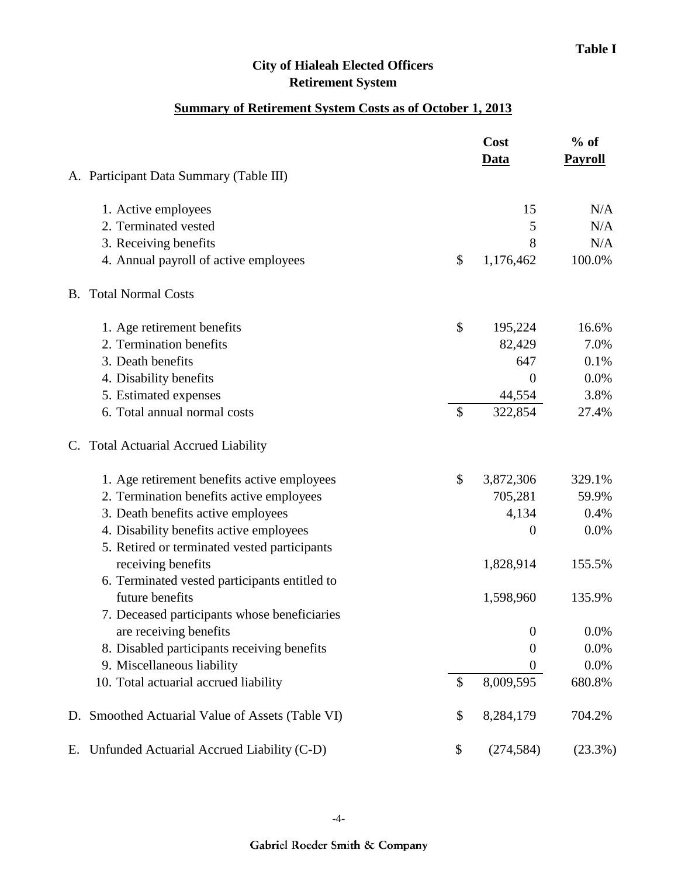# **Summary of Retirement System Costs as of October 1, 2013**

|           |                                               |               | Cost<br>Data     | $%$ of<br><b>Payroll</b> |
|-----------|-----------------------------------------------|---------------|------------------|--------------------------|
|           | A. Participant Data Summary (Table III)       |               |                  |                          |
|           | 1. Active employees                           |               | 15               | N/A                      |
|           | 2. Terminated vested                          |               | 5                | N/A                      |
|           | 3. Receiving benefits                         |               | 8                | N/A                      |
|           | 4. Annual payroll of active employees         | \$            | 1,176,462        | 100.0%                   |
| <b>B.</b> | <b>Total Normal Costs</b>                     |               |                  |                          |
|           | 1. Age retirement benefits                    | \$            | 195,224          | 16.6%                    |
|           | 2. Termination benefits                       |               | 82,429           | 7.0%                     |
|           | 3. Death benefits                             |               | 647              | 0.1%                     |
|           | 4. Disability benefits                        |               | $\overline{0}$   | 0.0%                     |
|           | 5. Estimated expenses                         |               | 44,554           | 3.8%                     |
|           | 6. Total annual normal costs                  | $\mathcal{S}$ | 322,854          | 27.4%                    |
| C.        | <b>Total Actuarial Accrued Liability</b>      |               |                  |                          |
|           | 1. Age retirement benefits active employees   | \$            | 3,872,306        | 329.1%                   |
|           | 2. Termination benefits active employees      |               | 705,281          | 59.9%                    |
|           | 3. Death benefits active employees            |               | 4,134            | 0.4%                     |
|           | 4. Disability benefits active employees       |               | $\boldsymbol{0}$ | 0.0%                     |
|           | 5. Retired or terminated vested participants  |               |                  |                          |
|           | receiving benefits                            |               | 1,828,914        | 155.5%                   |
|           | 6. Terminated vested participants entitled to |               |                  |                          |
|           | future benefits                               |               | 1,598,960        | 135.9%                   |
|           | 7. Deceased participants whose beneficiaries  |               |                  |                          |
|           | are receiving benefits                        |               | $\overline{0}$   | 0.0%                     |
|           | 8. Disabled participants receiving benefits   |               | $\overline{0}$   | 0.0%                     |
|           | 9. Miscellaneous liability                    |               | $\boldsymbol{0}$ | 0.0%                     |
|           | 10. Total actuarial accrued liability         | \$            | 8,009,595        | 680.8%                   |
| D.        | Smoothed Actuarial Value of Assets (Table VI) | \$            | 8,284,179        | 704.2%                   |
| Е.        | Unfunded Actuarial Accrued Liability (C-D)    | \$            | (274, 584)       | $(23.3\%)$               |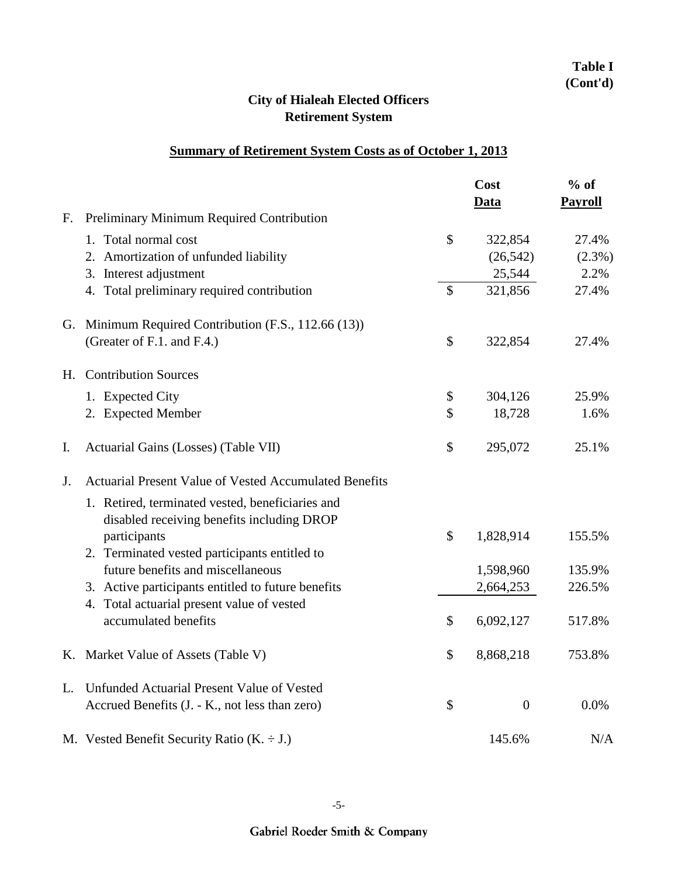# **Summary of Retirement System Costs as of October 1, 2013**

|    |                                                                                                | Cost<br><b>Data</b>                  | $%$ of<br><b>Payroll</b>   |
|----|------------------------------------------------------------------------------------------------|--------------------------------------|----------------------------|
| F. | Preliminary Minimum Required Contribution                                                      |                                      |                            |
|    | 1. Total normal cost<br>2. Amortization of unfunded liability<br>3. Interest adjustment        | \$<br>322,854<br>(26, 542)<br>25,544 | 27.4%<br>$(2.3\%)$<br>2.2% |
|    | 4. Total preliminary required contribution                                                     | \$<br>321,856                        | 27.4%                      |
|    | G. Minimum Required Contribution (F.S., 112.66 (13))                                           |                                      |                            |
|    | (Greater of F.1. and F.4.)                                                                     | \$<br>322,854                        | 27.4%                      |
|    | H. Contribution Sources                                                                        |                                      |                            |
|    | 1. Expected City                                                                               | \$<br>304,126                        | 25.9%                      |
|    | 2. Expected Member                                                                             | \$<br>18,728                         | 1.6%                       |
| I. | Actuarial Gains (Losses) (Table VII)                                                           | \$<br>295,072                        | 25.1%                      |
| J. | Actuarial Present Value of Vested Accumulated Benefits                                         |                                      |                            |
|    | 1. Retired, terminated vested, beneficiaries and<br>disabled receiving benefits including DROP |                                      |                            |
|    | participants<br>2. Terminated vested participants entitled to                                  | \$<br>1,828,914                      | 155.5%                     |
|    | future benefits and miscellaneous                                                              | 1,598,960                            | 135.9%                     |
|    | 3. Active participants entitled to future benefits                                             | 2,664,253                            | 226.5%                     |
|    | 4. Total actuarial present value of vested<br>accumulated benefits                             | \$<br>6,092,127                      | 517.8%                     |
|    | K. Market Value of Assets (Table V)                                                            | \$<br>8,868,218                      | 753.8%                     |
| L. | Unfunded Actuarial Present Value of Vested                                                     |                                      |                            |
|    | Accrued Benefits (J. - K., not less than zero)                                                 | \$<br>$\boldsymbol{0}$               | 0.0%                       |
|    | M. Vested Benefit Security Ratio ( $K. \div J$ .)                                              | 145.6%                               | N/A                        |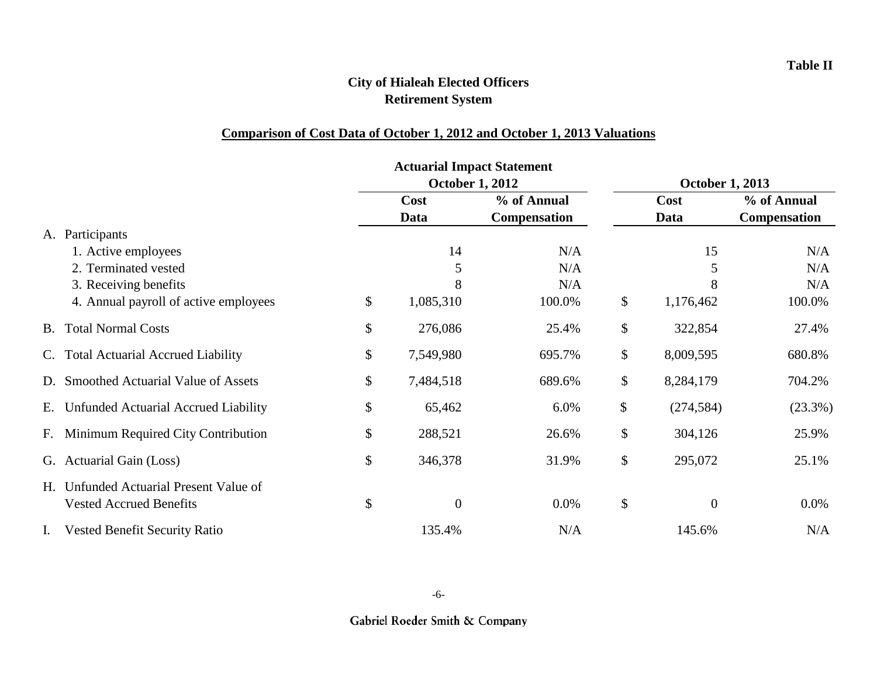## **Comparison of Cost Data of October 1, 2012 and October 1, 2013 Valuations**

|                |                                             |               | <b>Actuarial Impact Statement</b> |                     |      |                        |                     |  |
|----------------|---------------------------------------------|---------------|-----------------------------------|---------------------|------|------------------------|---------------------|--|
|                |                                             |               | <b>October 1, 2012</b>            |                     |      | <b>October 1, 2013</b> |                     |  |
|                |                                             |               | Cost                              | % of Annual         | Cost |                        | % of Annual         |  |
|                |                                             |               | Data                              | <b>Compensation</b> |      | Data                   | <b>Compensation</b> |  |
|                | A. Participants                             |               |                                   |                     |      |                        |                     |  |
|                | 1. Active employees                         |               | 14                                | N/A                 |      | 15                     | N/A                 |  |
|                | 2. Terminated vested                        |               | 5                                 | N/A                 |      |                        | N/A                 |  |
|                | 3. Receiving benefits                       |               | 8                                 | N/A                 |      | 8                      | N/A                 |  |
|                | 4. Annual payroll of active employees       | \$            | 1,085,310                         | 100.0%              | \$   | 1,176,462              | 100.0%              |  |
| <b>B.</b>      | <b>Total Normal Costs</b>                   | \$            | 276,086                           | 25.4%               | \$   | 322,854                | 27.4%               |  |
| C.             | <b>Total Actuarial Accrued Liability</b>    | \$            | 7,549,980                         | 695.7%              | \$   | 8,009,595              | 680.8%              |  |
|                | D. Smoothed Actuarial Value of Assets       | \$            | 7,484,518                         | 689.6%              | \$   | 8,284,179              | 704.2%              |  |
| Е.             | <b>Unfunded Actuarial Accrued Liability</b> | $\mathcal{S}$ | 65,462                            | 6.0%                | \$   | (274, 584)             | $(23.3\%)$          |  |
| F.             | Minimum Required City Contribution          | \$            | 288,521                           | 26.6%               | \$   | 304,126                | 25.9%               |  |
|                | G. Actuarial Gain (Loss)                    | \$            | 346,378                           | 31.9%               | \$   | 295,072                | 25.1%               |  |
| $H_{\cdot}$    | Unfunded Actuarial Present Value of         |               |                                   |                     |      |                        |                     |  |
|                | <b>Vested Accrued Benefits</b>              | $\mathcal{S}$ | $\overline{0}$                    | $0.0\%$             | \$   | $\theta$               | $0.0\%$             |  |
| $\mathbf{I}$ . | <b>Vested Benefit Security Ratio</b>        |               | 135.4%                            | N/A                 |      | 145.6%                 | N/A                 |  |

Gabriel Roeder Smith & Company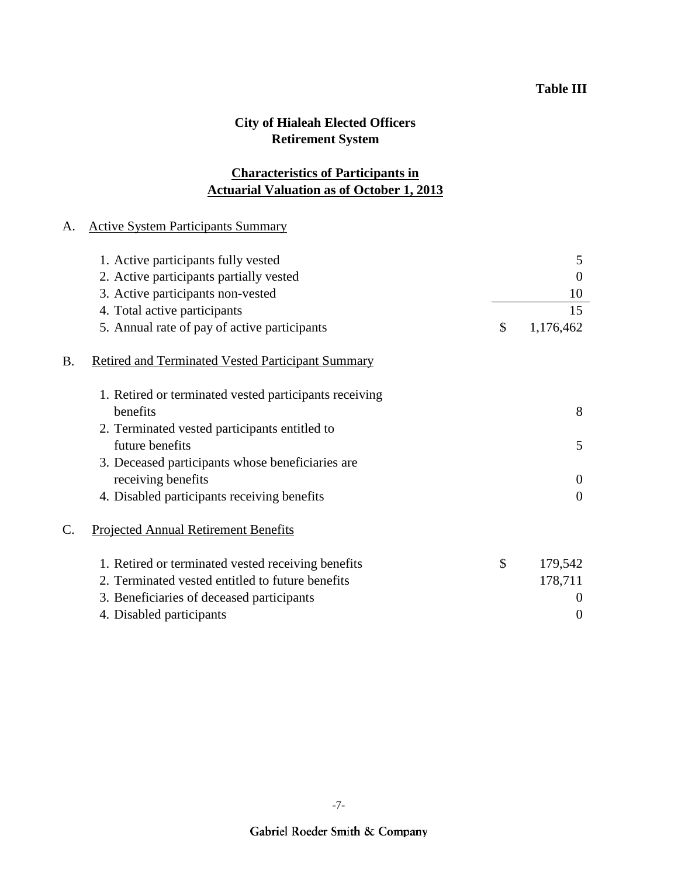#### **Table III**

# **City of Hialeah Elected Officers Retirement System**

# **Actuarial Valuation as of October 1, 2013 Characteristics of Participants in**

### A. Active System Participants Summary

| 1. Active participants fully vested                      |                    | 5         |
|----------------------------------------------------------|--------------------|-----------|
| 2. Active participants partially vested                  |                    | 0         |
| 3. Active participants non-vested                        |                    | 10        |
| 4. Total active participants                             |                    | 15        |
| 5. Annual rate of pay of active participants             | \$                 | 1,176,462 |
| <b>Retired and Terminated Vested Participant Summary</b> |                    |           |
| 1. Retired or terminated vested participants receiving   |                    |           |
| benefits                                                 |                    | 8         |
| 2. Terminated vested participants entitled to            |                    |           |
| future benefits                                          |                    | 5         |
| 3. Deceased participants whose beneficiaries are         |                    |           |
|                                                          |                    | $\Omega$  |
| 4. Disabled participants receiving benefits              |                    | $\Omega$  |
| <b>Projected Annual Retirement Benefits</b>              |                    |           |
| 1. Retired or terminated vested receiving benefits       | \$                 | 179,542   |
| 2. Terminated vested entitled to future benefits         |                    | 178,711   |
| 3. Beneficiaries of deceased participants                |                    | $\theta$  |
| 4. Disabled participants                                 |                    | 0         |
|                                                          | receiving benefits |           |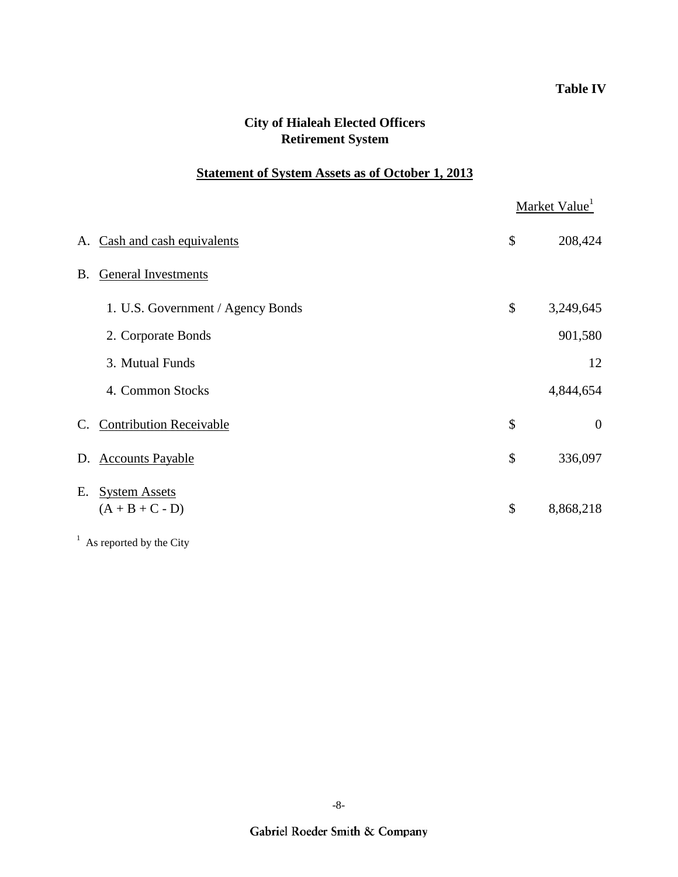## **Statement of System Assets as of October 1, 2013**

|           |                                           | Market Value <sup>1</sup> |
|-----------|-------------------------------------------|---------------------------|
| A.        | Cash and cash equivalents                 | \$<br>208,424             |
| <b>B.</b> | <b>General Investments</b>                |                           |
|           | 1. U.S. Government / Agency Bonds         | \$<br>3,249,645           |
|           | 2. Corporate Bonds                        | 901,580                   |
|           | 3. Mutual Funds                           | 12                        |
|           | 4. Common Stocks                          | 4,844,654                 |
| C.        | <b>Contribution Receivable</b>            | \$<br>$\theta$            |
| D.        | <b>Accounts Payable</b>                   | \$<br>336,097             |
| Е.        | <b>System Assets</b><br>$(A + B + C - D)$ | \$<br>8,868,218           |
|           | $\frac{1}{1}$ As reported by the City     |                           |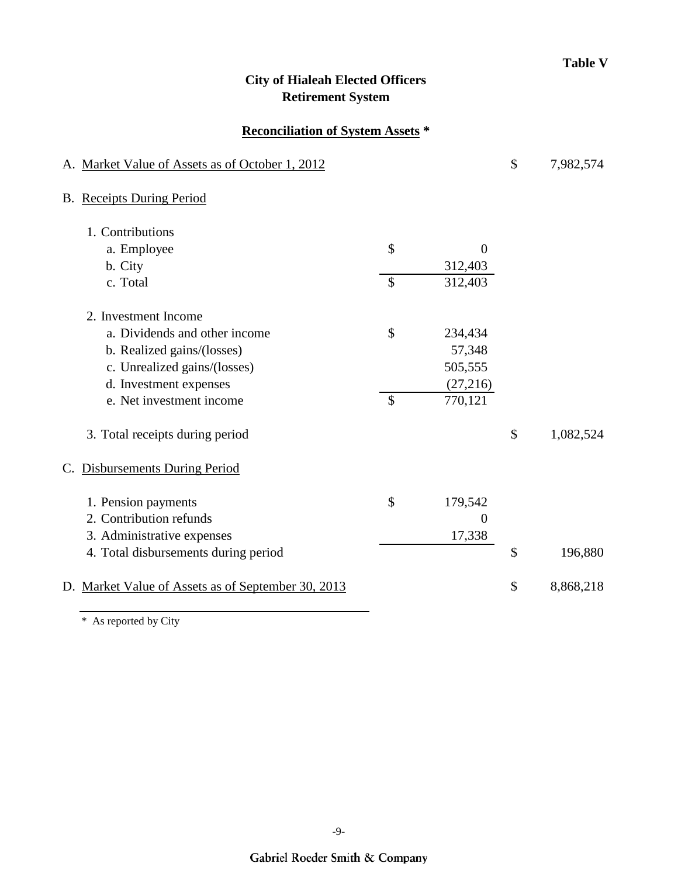#### **Table V**

# **City of Hialeah Elected Officers Retirement System**

# **Reconciliation of System Assets \***

|             | A. Market Value of Assets as of October 1, 2012 |               |                | \$<br>7,982,574 |
|-------------|-------------------------------------------------|---------------|----------------|-----------------|
| В.          | <b>Receipts During Period</b>                   |               |                |                 |
|             | 1. Contributions                                |               |                |                 |
|             | a. Employee                                     | \$            | $\overline{0}$ |                 |
|             | b. City                                         |               | 312,403        |                 |
|             | c. Total                                        | $\mathcal{S}$ | 312,403        |                 |
|             | 2. Investment Income                            |               |                |                 |
|             | a. Dividends and other income                   | \$            | 234,434        |                 |
|             | b. Realized gains/(losses)                      |               | 57,348         |                 |
|             | c. Unrealized gains/(losses)                    |               | 505,555        |                 |
|             | d. Investment expenses                          |               | (27,216)       |                 |
|             | e. Net investment income                        | $\mathcal{S}$ | 770,121        |                 |
|             | 3. Total receipts during period                 |               |                | \$<br>1,082,524 |
| $C_{\cdot}$ | <b>Disbursements During Period</b>              |               |                |                 |
|             | 1. Pension payments                             | \$            | 179,542        |                 |
|             | 2. Contribution refunds                         |               | $\overline{0}$ |                 |
|             | 3. Administrative expenses                      |               | 17,338         |                 |
|             | 4. Total disbursements during period            |               |                | \$<br>196,880   |
| D.          | Market Value of Assets as of September 30, 2013 |               |                | \$<br>8,868,218 |

\* As reported by City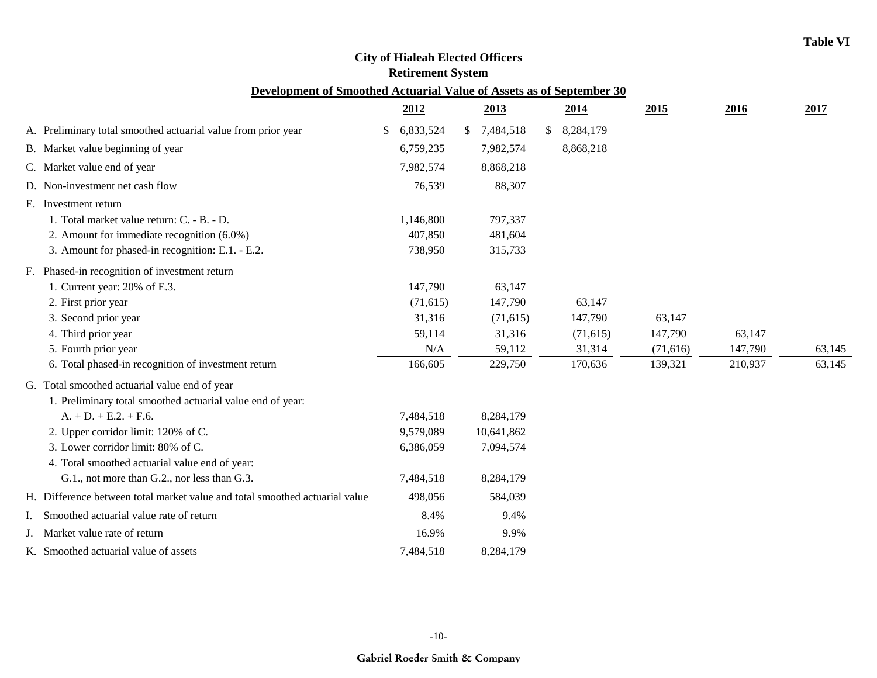### **City of Hialeah Elected Officers Retirement System Development of Smoothed Actuarial Value of Assets as of September 30**

|                                                                             | 2012            | 2013            | 2014                      | 2015      | 2016    | 2017   |
|-----------------------------------------------------------------------------|-----------------|-----------------|---------------------------|-----------|---------|--------|
| A. Preliminary total smoothed actuarial value from prior year               | 6,833,524<br>\$ | 7,484,518<br>S. | 8,284,179<br>$\mathbb{S}$ |           |         |        |
| B. Market value beginning of year                                           | 6,759,235       | 7,982,574       | 8,868,218                 |           |         |        |
| C. Market value end of year                                                 | 7,982,574       | 8,868,218       |                           |           |         |        |
| D. Non-investment net cash flow                                             | 76,539          | 88,307          |                           |           |         |        |
| E. Investment return                                                        |                 |                 |                           |           |         |        |
| 1. Total market value return: C. - B. - D.                                  | 1,146,800       | 797,337         |                           |           |         |        |
| 2. Amount for immediate recognition (6.0%)                                  | 407,850         | 481,604         |                           |           |         |        |
| 3. Amount for phased-in recognition: E.1. - E.2.                            | 738,950         | 315,733         |                           |           |         |        |
| F. Phased-in recognition of investment return                               |                 |                 |                           |           |         |        |
| 1. Current year: 20% of E.3.                                                | 147,790         | 63,147          |                           |           |         |        |
| 2. First prior year                                                         | (71, 615)       | 147,790         | 63,147                    |           |         |        |
| 3. Second prior year                                                        | 31,316          | (71, 615)       | 147,790                   | 63,147    |         |        |
| 4. Third prior year                                                         | 59,114          | 31,316          | (71, 615)                 | 147,790   | 63,147  |        |
| 5. Fourth prior year                                                        | N/A             | 59,112          | 31,314                    | (71, 616) | 147,790 | 63,145 |
| 6. Total phased-in recognition of investment return                         | 166,605         | 229,750         | 170,636                   | 139,321   | 210,937 | 63,145 |
| G. Total smoothed actuarial value end of year                               |                 |                 |                           |           |         |        |
| 1. Preliminary total smoothed actuarial value end of year:                  |                 |                 |                           |           |         |        |
| $A. + D. + E.2. + F.6.$                                                     | 7,484,518       | 8,284,179       |                           |           |         |        |
| 2. Upper corridor limit: 120% of C.                                         | 9,579,089       | 10,641,862      |                           |           |         |        |
| 3. Lower corridor limit: 80% of C.                                          | 6,386,059       | 7,094,574       |                           |           |         |        |
| 4. Total smoothed actuarial value end of year:                              |                 |                 |                           |           |         |        |
| G.1., not more than G.2., nor less than G.3.                                | 7,484,518       | 8,284,179       |                           |           |         |        |
| H. Difference between total market value and total smoothed actuarial value | 498,056         | 584,039         |                           |           |         |        |
| I. Smoothed actuarial value rate of return                                  | 8.4%            | 9.4%            |                           |           |         |        |
| J. Market value rate of return                                              | 16.9%           | 9.9%            |                           |           |         |        |
| K. Smoothed actuarial value of assets                                       | 7,484,518       | 8,284,179       |                           |           |         |        |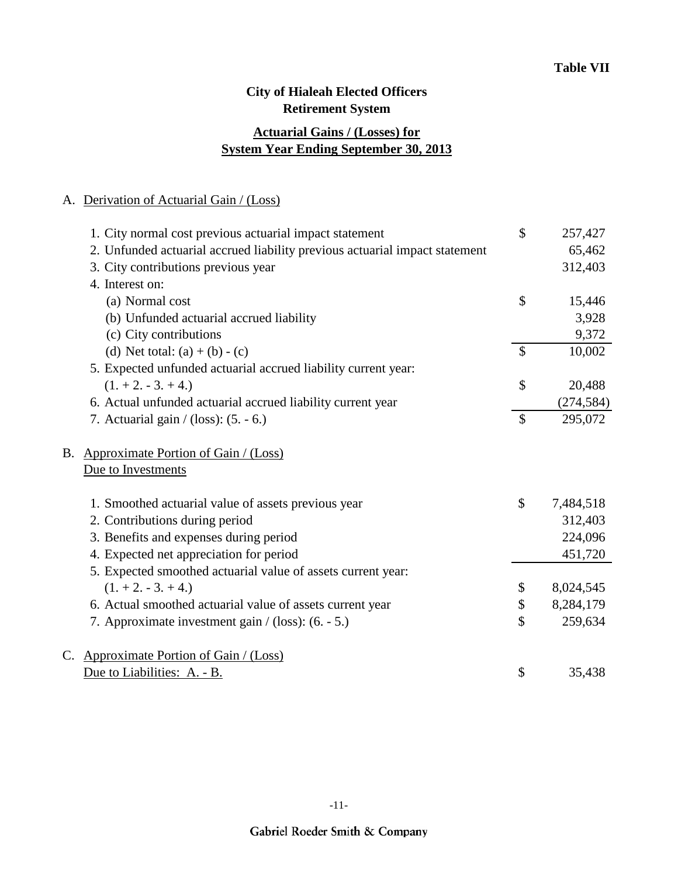# **System Year Ending September 30, 2013 Actuarial Gains / (Losses) for**

# A. Derivation of Actuarial Gain / (Loss)

|    | 1. City normal cost previous actuarial impact statement                     | $\mathcal{S}$ | 257,427    |
|----|-----------------------------------------------------------------------------|---------------|------------|
|    | 2. Unfunded actuarial accrued liability previous actuarial impact statement |               | 65,462     |
|    | 3. City contributions previous year                                         |               | 312,403    |
|    | 4. Interest on:                                                             |               |            |
|    | (a) Normal cost                                                             | \$            | 15,446     |
|    | (b) Unfunded actuarial accrued liability                                    |               | 3,928      |
|    | (c) City contributions                                                      |               | 9,372      |
|    | (d) Net total: $(a) + (b) - (c)$                                            | $\mathcal{S}$ | 10,002     |
|    | 5. Expected unfunded actuarial accrued liability current year:              |               |            |
|    | $(1. + 2. - 3. + 4.)$                                                       | \$            | 20,488     |
|    | 6. Actual unfunded actuarial accrued liability current year                 |               | (274, 584) |
|    | 7. Actuarial gain $/(loss)$ : (5. - 6.)                                     | $\mathcal{S}$ | 295,072    |
| В. | <b>Approximate Portion of Gain / (Loss)</b>                                 |               |            |
|    | Due to Investments                                                          |               |            |
|    | 1. Smoothed actuarial value of assets previous year                         | \$            | 7,484,518  |
|    | 2. Contributions during period                                              |               | 312,403    |
|    | 3. Benefits and expenses during period                                      |               | 224,096    |
|    | 4. Expected net appreciation for period                                     |               | 451,720    |
|    | 5. Expected smoothed actuarial value of assets current year:                |               |            |
|    | $(1. + 2. - 3. + 4.)$                                                       | \$            | 8,024,545  |
|    | 6. Actual smoothed actuarial value of assets current year                   | \$            | 8,284,179  |
|    | 7. Approximate investment gain / (loss): (6. - 5.)                          | \$            | 259,634    |
| C. | <b>Approximate Portion of Gain / (Loss)</b>                                 |               |            |
|    | Due to Liabilities: A. - B.                                                 | \$            | 35,438     |
|    |                                                                             |               |            |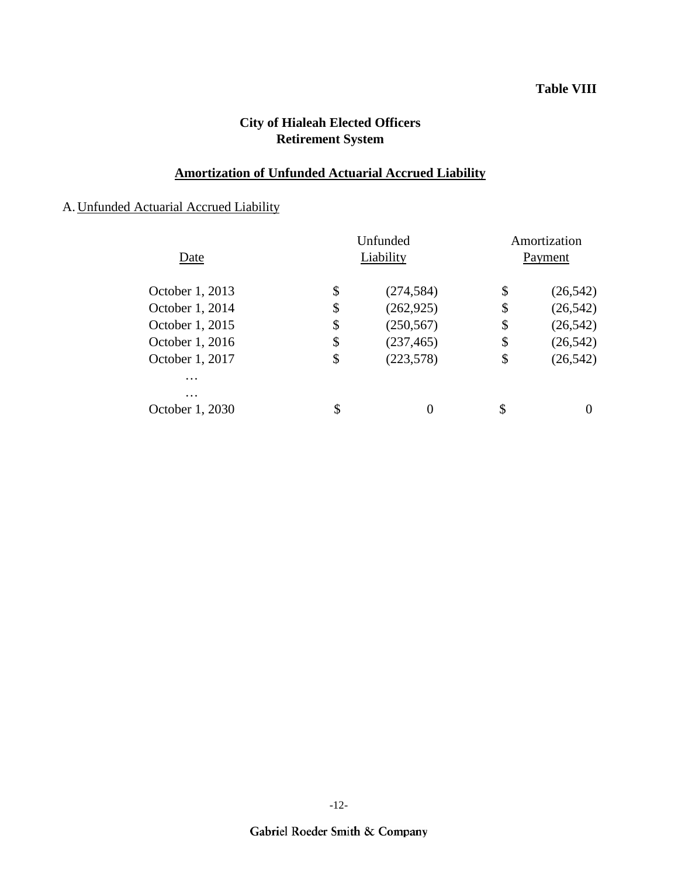#### **Table VIII**

# **City of Hialeah Elected Officers Retirement System**

# **Amortization of Unfunded Actuarial Accrued Liability**

## A. Unfunded Actuarial Accrued Liability

|                             | Unfunded |            | Amortization    |
|-----------------------------|----------|------------|-----------------|
| Date                        |          | Liability  | Payment         |
| October 1, 2013             | \$       | (274, 584) | \$<br>(26, 542) |
| October 1, 2014             | \$       | (262, 925) | \$<br>(26, 542) |
| October 1, 2015             | \$       | (250, 567) | \$<br>(26, 542) |
| October 1, 2016             | \$       | (237, 465) | \$<br>(26, 542) |
| October 1, 2017             | \$       | (223, 578) | \$<br>(26, 542) |
| $\cdot$                     |          |            |                 |
| $\cdots$<br>October 1, 2030 | \$       | 0          | \$<br>0         |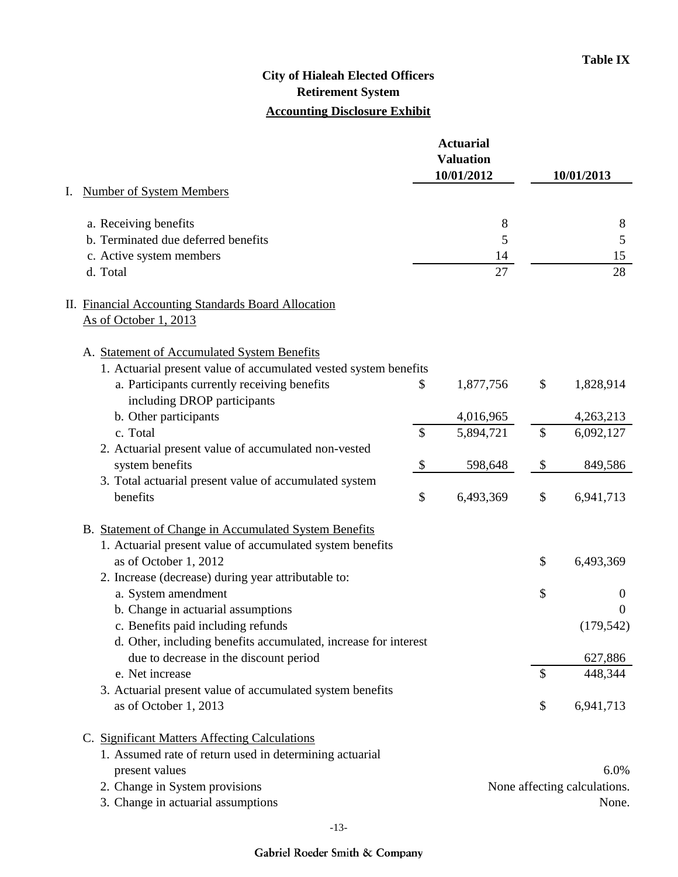# **City of Hialeah Elected Officers Retirement System Accounting Disclosure Exhibit**

|                                                                                    | <b>Actuarial</b><br><b>Valuation</b><br>10/01/2012 | 10/01/2013                   |
|------------------------------------------------------------------------------------|----------------------------------------------------|------------------------------|
| <b>Number of System Members</b><br>Ι.                                              |                                                    |                              |
| a. Receiving benefits                                                              | $8\,$                                              | 8                            |
| b. Terminated due deferred benefits                                                | 5                                                  | 5                            |
| c. Active system members                                                           | 14                                                 | 15                           |
| d. Total                                                                           | 27                                                 | 28                           |
| II. Financial Accounting Standards Board Allocation<br>As of October 1, 2013       |                                                    |                              |
| A. Statement of Accumulated System Benefits                                        |                                                    |                              |
| 1. Actuarial present value of accumulated vested system benefits                   |                                                    |                              |
| a. Participants currently receiving benefits                                       | \$<br>1,877,756                                    | \$<br>1,828,914              |
| including DROP participants                                                        |                                                    |                              |
| b. Other participants                                                              | 4,016,965                                          | 4,263,213                    |
| c. Total<br>2. Actuarial present value of accumulated non-vested                   | \$<br>5,894,721                                    | \$<br>6,092,127              |
| system benefits                                                                    | \$<br>598,648                                      | \$<br>849,586                |
| 3. Total actuarial present value of accumulated system                             |                                                    |                              |
| benefits                                                                           | \$<br>6,493,369                                    | \$<br>6,941,713              |
| B. Statement of Change in Accumulated System Benefits                              |                                                    |                              |
| 1. Actuarial present value of accumulated system benefits                          |                                                    |                              |
| as of October 1, 2012                                                              |                                                    | \$<br>6,493,369              |
| 2. Increase (decrease) during year attributable to:                                |                                                    |                              |
| a. System amendment                                                                |                                                    | \$<br>$\theta$               |
| b. Change in actuarial assumptions                                                 |                                                    | $\overline{0}$               |
| c. Benefits paid including refunds                                                 |                                                    | (179, 542)                   |
| d. Other, including benefits accumulated, increase for interest                    |                                                    |                              |
| due to decrease in the discount period                                             |                                                    | 627,886                      |
| e. Net increase                                                                    |                                                    | \$<br>448,344                |
| 3. Actuarial present value of accumulated system benefits<br>as of October 1, 2013 |                                                    | \$<br>6,941,713              |
|                                                                                    |                                                    |                              |
| C. Significant Matters Affecting Calculations                                      |                                                    |                              |
| 1. Assumed rate of return used in determining actuarial                            |                                                    |                              |
| present values                                                                     |                                                    | 6.0%                         |
| 2. Change in System provisions                                                     |                                                    | None affecting calculations. |
| 3. Change in actuarial assumptions                                                 |                                                    | None.                        |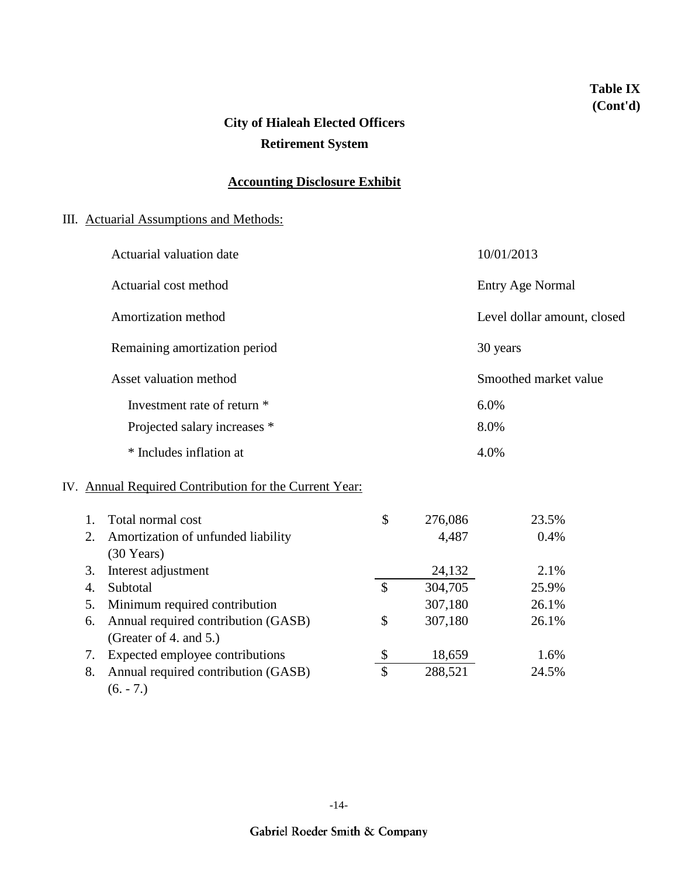# **Table IX (Cont'd)**

# **City of Hialeah Elected Officers Retirement System**

## **Accounting Disclosure Exhibit**

## III. Actuarial Assumptions and Methods:

|    | Actuarial valuation date                                      |               |         | 10/01/2013                  |  |
|----|---------------------------------------------------------------|---------------|---------|-----------------------------|--|
|    | Actuarial cost method                                         |               |         | <b>Entry Age Normal</b>     |  |
|    | Amortization method                                           |               |         | Level dollar amount, closed |  |
|    | Remaining amortization period                                 |               |         | 30 years                    |  |
|    | Asset valuation method                                        |               |         | Smoothed market value       |  |
|    | Investment rate of return *                                   |               |         | 6.0%                        |  |
|    | Projected salary increases *                                  |               |         | 8.0%                        |  |
|    | * Includes inflation at                                       |               |         | 4.0%                        |  |
|    | IV. Annual Required Contribution for the Current Year:        |               |         |                             |  |
| 1. | Total normal cost                                             | \$            | 276,086 | 23.5%                       |  |
| 2. | Amortization of unfunded liability<br>(30 Years)              |               | 4,487   | 0.4%                        |  |
| 3. | Interest adjustment                                           |               | 24,132  | 2.1%                        |  |
| 4. | Subtotal                                                      | $\mathcal{S}$ | 304,705 | 25.9%                       |  |
| 5. | Minimum required contribution                                 |               | 307,180 | 26.1%                       |  |
| 6. | Annual required contribution (GASB)<br>(Greater of 4. and 5.) | $\mathcal{S}$ | 307,180 | 26.1%                       |  |
| 7. | Expected employee contributions                               | \$            | 18,659  | 1.6%                        |  |
| 8. | Annual required contribution (GASB)<br>$(6. - 7.)$            | \$            | 288,521 | 24.5%                       |  |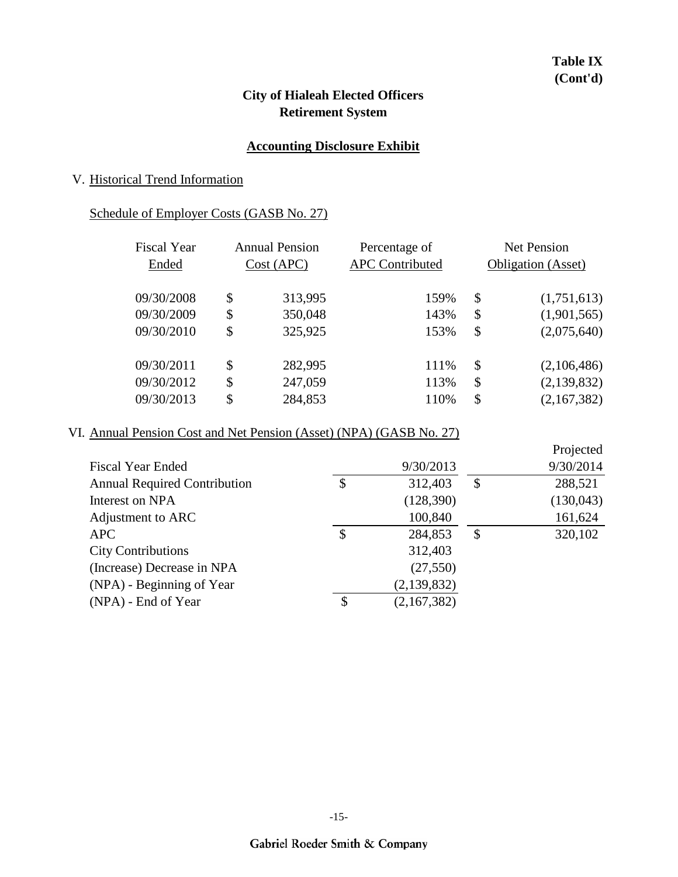### **Accounting Disclosure Exhibit**

## V. Historical Trend Information

## Schedule of Employer Costs (GASB No. 27)

| <b>Fiscal Year</b><br><b>Annual Pension</b> |            | Percentage of | <b>Net Pension</b>     |                           |               |  |
|---------------------------------------------|------------|---------------|------------------------|---------------------------|---------------|--|
| Ended                                       | Cost (APC) |               | <b>APC</b> Contributed | <b>Obligation</b> (Asset) |               |  |
|                                             |            |               |                        |                           |               |  |
| 09/30/2008                                  | \$         | 313,995       | 159%                   | \$                        | (1,751,613)   |  |
| 09/30/2009                                  | \$         | 350,048       | 143%                   | \$                        | (1,901,565)   |  |
| 09/30/2010                                  | \$         | 325,925       | 153%                   | \$                        | (2,075,640)   |  |
|                                             |            |               |                        |                           |               |  |
| 09/30/2011                                  | \$         | 282,995       | 111%                   | \$                        | (2,106,486)   |  |
| 09/30/2012                                  | \$         | 247,059       | 113%                   | \$                        | (2, 139, 832) |  |
| 09/30/2013                                  | \$         | 284,853       | 110%                   | $\mathcal{S}$             | (2,167,382)   |  |

# VI. Annual Pension Cost and Net Pension (Asset) (NPA) (GASB No. 27)

|                                     |                   | Projected     |
|-------------------------------------|-------------------|---------------|
| <b>Fiscal Year Ended</b>            | 9/30/2013         | 9/30/2014     |
| <b>Annual Required Contribution</b> | \$<br>312,403     | \$<br>288,521 |
| Interest on NPA                     | (128, 390)        | (130,043)     |
| Adjustment to ARC                   | 100,840           | 161,624       |
| <b>APC</b>                          | \$<br>284,853     | \$<br>320,102 |
| <b>City Contributions</b>           | 312,403           |               |
| (Increase) Decrease in NPA          | (27, 550)         |               |
| (NPA) - Beginning of Year           | (2, 139, 832)     |               |
| (NPA) - End of Year                 | \$<br>(2,167,382) |               |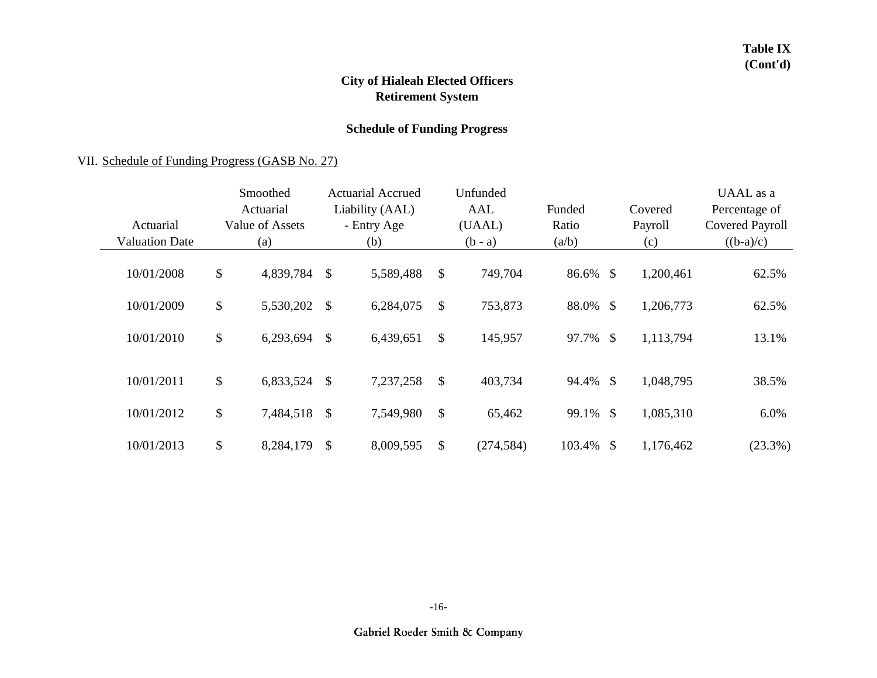### **Schedule of Funding Progress**

#### VII. Schedule of Funding Progress (GASB No. 27)

| Actuarial<br><b>Valuation Date</b> | Smoothed<br>Actuarial<br>Value of Assets<br>(a) |               | <b>Actuarial Accrued</b><br>Liability (AAL)<br>- Entry Age<br>(b) |               | Unfunded<br>AAL<br>(UAAL)<br>$(b - a)$ | Funded<br>Ratio<br>(a/b) | Covered<br>Payroll<br>(c) | UAAL as a<br>Percentage of<br><b>Covered Payroll</b><br>$((b-a)/c)$ |
|------------------------------------|-------------------------------------------------|---------------|-------------------------------------------------------------------|---------------|----------------------------------------|--------------------------|---------------------------|---------------------------------------------------------------------|
| 10/01/2008                         | \$<br>4,839,784                                 | $\mathbb{S}$  | 5,589,488                                                         | \$            | 749,704                                | 86.6%                    | \$<br>1,200,461           | 62.5%                                                               |
| 10/01/2009                         | \$<br>5,530,202 \$                              |               | 6,284,075                                                         | \$            | 753,873                                | 88.0%                    | \$<br>1,206,773           | 62.5%                                                               |
| 10/01/2010                         | \$<br>6,293,694                                 | $\mathbb{S}$  | 6,439,651                                                         | \$            | 145,957                                | 97.7%                    | \$<br>1,113,794           | 13.1%                                                               |
| 10/01/2011                         |                                                 |               |                                                                   |               |                                        |                          |                           |                                                                     |
|                                    | \$<br>6,833,524                                 | - \$          | 7,237,258                                                         | $\mathcal{S}$ | 403,734                                | 94.4%                    | \$<br>1,048,795           | 38.5%                                                               |
| 10/01/2012                         | \$<br>7,484,518 \$                              |               | 7,549,980                                                         | \$            | 65,462                                 | 99.1%                    | \$<br>1,085,310           | 6.0%                                                                |
| 10/01/2013                         | \$<br>8,284,179                                 | $\mathcal{S}$ | 8,009,595                                                         | \$            | (274, 584)                             | 103.4%                   | \$<br>1,176,462           | $(23.3\%)$                                                          |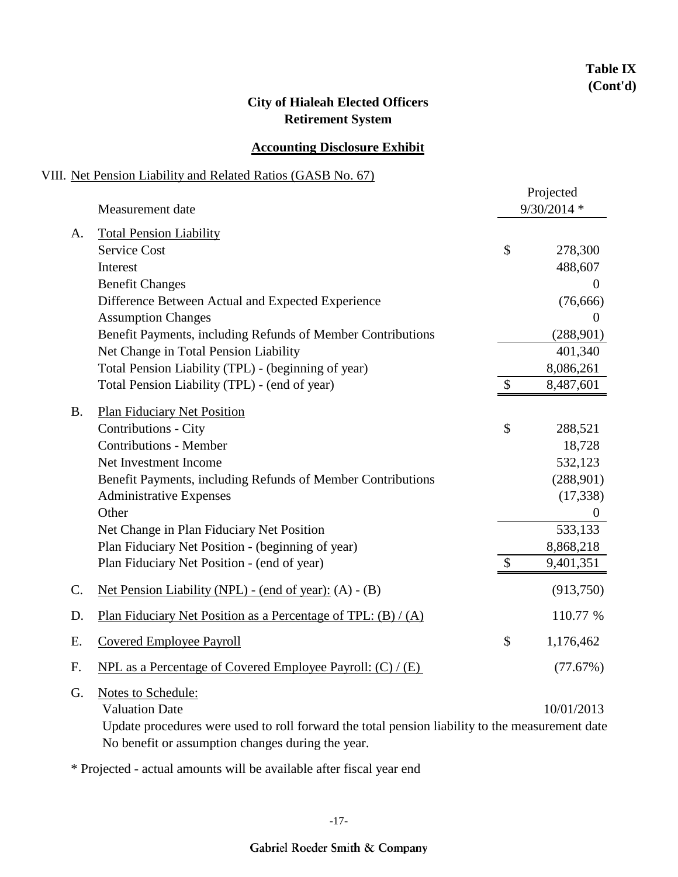#### **Accounting Disclosure Exhibit**

# VIII. Net Pension Liability and Related Ratios (GASB No. 67)

|                |                                                                 | Projected<br>$9/30/2014$ * |
|----------------|-----------------------------------------------------------------|----------------------------|
|                | Measurement date                                                |                            |
| A.             | <b>Total Pension Liability</b>                                  |                            |
|                | <b>Service Cost</b>                                             | \$<br>278,300              |
|                | Interest                                                        | 488,607                    |
|                | <b>Benefit Changes</b>                                          | 0                          |
|                | Difference Between Actual and Expected Experience               | (76, 666)                  |
|                | <b>Assumption Changes</b>                                       | $\overline{0}$             |
|                | Benefit Payments, including Refunds of Member Contributions     | (288,901)                  |
|                | Net Change in Total Pension Liability                           | 401,340                    |
|                | Total Pension Liability (TPL) - (beginning of year)             | 8,086,261                  |
|                | Total Pension Liability (TPL) - (end of year)                   | \$<br>8,487,601            |
| <b>B.</b>      | <b>Plan Fiduciary Net Position</b>                              |                            |
|                | Contributions - City                                            | \$<br>288,521              |
|                | <b>Contributions - Member</b>                                   | 18,728                     |
|                | Net Investment Income                                           | 532,123                    |
|                | Benefit Payments, including Refunds of Member Contributions     | (288,901)                  |
|                | <b>Administrative Expenses</b>                                  | (17, 338)                  |
|                | Other                                                           | $\theta$                   |
|                | Net Change in Plan Fiduciary Net Position                       | 533,133                    |
|                | Plan Fiduciary Net Position - (beginning of year)               | 8,868,218                  |
|                | Plan Fiduciary Net Position - (end of year)                     | \$<br>9,401,351            |
|                |                                                                 |                            |
| $\mathbf{C}$ . | Net Pension Liability (NPL) - (end of year): (A) - (B)          | (913,750)                  |
| D.             | Plan Fiduciary Net Position as a Percentage of TPL: $(B) / (A)$ | 110.77 %                   |
| Ε.             | <b>Covered Employee Payroll</b>                                 | \$<br>1,176,462            |
| F.             | NPL as a Percentage of Covered Employee Payroll: $(C) / (E)$    | (77.67%)                   |
| G.             | Notes to Schedule:                                              |                            |
|                | <b>Valuation Date</b>                                           | 10/01/2013                 |
|                | $\mathbf{a}$ . $\mathbf{a}$ . $\mathbf{a}$ . $\mathbf{a}$       |                            |

Update procedures were used to roll forward the total pension liability to the measurement date No benefit or assumption changes during the year.

\* Projected - actual amounts will be available after fiscal year end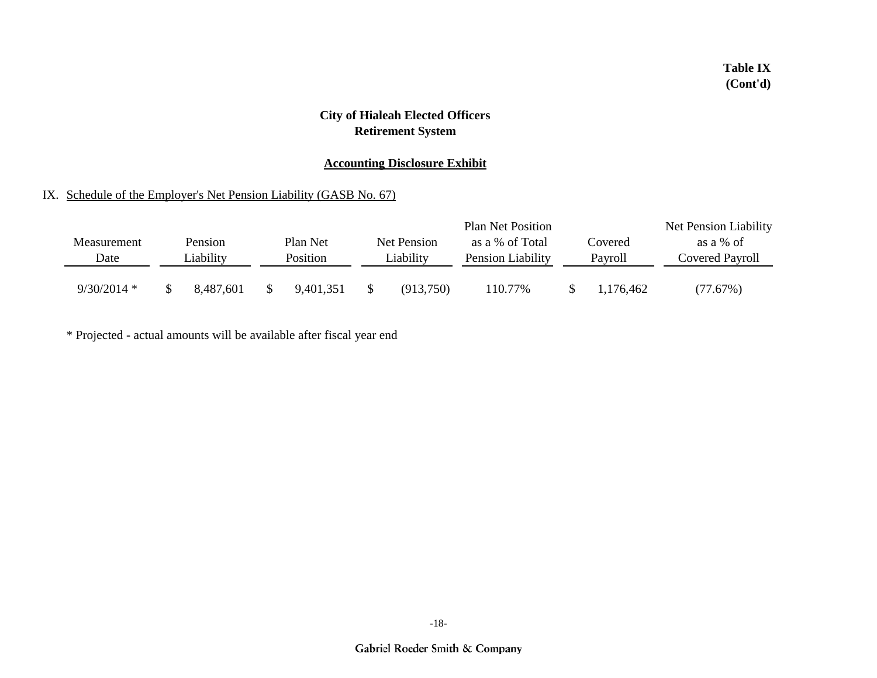#### **Accounting Disclosure Exhibit**

#### IX. Schedule of the Employer's Net Pension Liability (GASB No. 67)

|               |                |           |                                | <b>Plan Net Position</b> |          | Net Pension Liability |
|---------------|----------------|-----------|--------------------------------|--------------------------|----------|-----------------------|
| Measurement   | <b>Pension</b> | Plan Net  | Net Pension                    | as a % of Total          | Covered  | as a % of             |
| Date          | Liability      | Position  | Liability<br>Pension Liability |                          | Pavroll  | Covered Payroll       |
|               |                |           |                                |                          |          |                       |
| $9/30/2014$ * | 8,487,601      | 9,401,351 | (913,750)                      | 110.77%                  | .176.462 | (77.67%)              |

\* Projected - actual amounts will be available after fiscal year end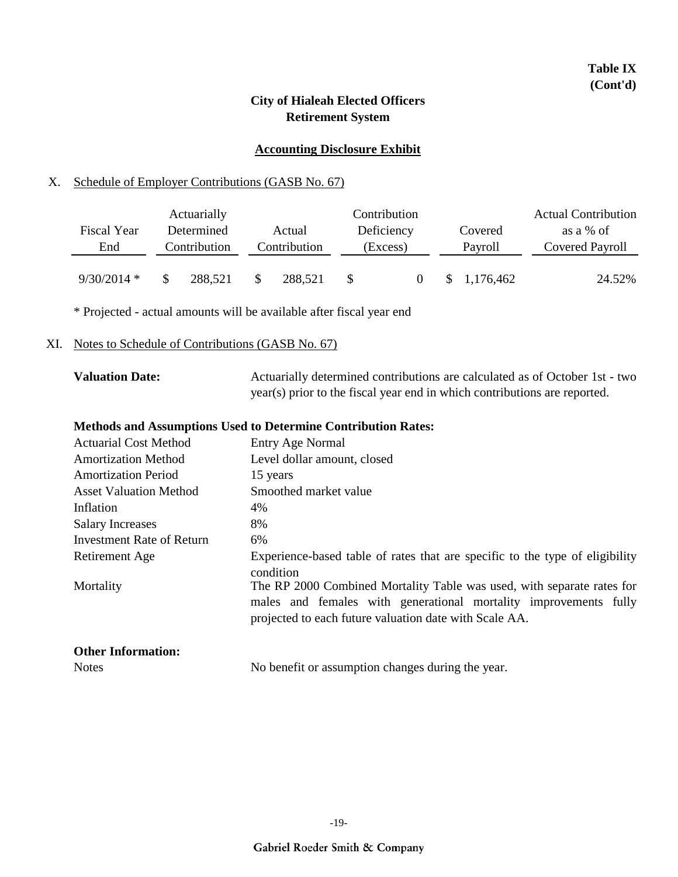#### **Accounting Disclosure Exhibit**

#### X. Schedule of Employer Contributions (GASB No. 67)

| Actuarially<br>Contribution |  |              |  |              |  |            |  |           | <b>Actual Contribution</b> |
|-----------------------------|--|--------------|--|--------------|--|------------|--|-----------|----------------------------|
| <b>Fiscal Year</b>          |  | Determined   |  | Actual       |  | Deficiency |  | Covered   | as a % of                  |
| End                         |  | Contribution |  | Contribution |  | (Excess)   |  | Payroll   | Covered Payroll            |
| $9/30/2014$ *               |  | 288,521      |  | 288,521      |  |            |  | 1,176,462 | 24.52%                     |

\* Projected - actual amounts will be available after fiscal year end

#### XI. Notes to Schedule of Contributions (GASB No. 67)

**Valuation Date:** Actuarially determined contributions are calculated as of October 1st - two year(s) prior to the fiscal year end in which contributions are reported.

#### **Methods and Assumptions Used to Determine Contribution Rates:**

| <b>Actuarial Cost Method</b>  | Entry Age Normal                                                                          |
|-------------------------------|-------------------------------------------------------------------------------------------|
| <b>Amortization Method</b>    | Level dollar amount, closed                                                               |
| <b>Amortization Period</b>    | 15 years                                                                                  |
| <b>Asset Valuation Method</b> | Smoothed market value                                                                     |
| Inflation                     | 4%                                                                                        |
| <b>Salary Increases</b>       | 8%                                                                                        |
| Investment Rate of Return     | 6%                                                                                        |
| Retirement Age                | Experience-based table of rates that are specific to the type of eligibility<br>condition |
| Mortality                     | The RP 2000 Combined Mortality Table was used, with separate rates for                    |
|                               | males and females with generational mortality improvements fully                          |
|                               | projected to each future valuation date with Scale AA.                                    |
|                               |                                                                                           |
| <b>Other Information:</b>     |                                                                                           |

Notes

No benefit or assumption changes during the year.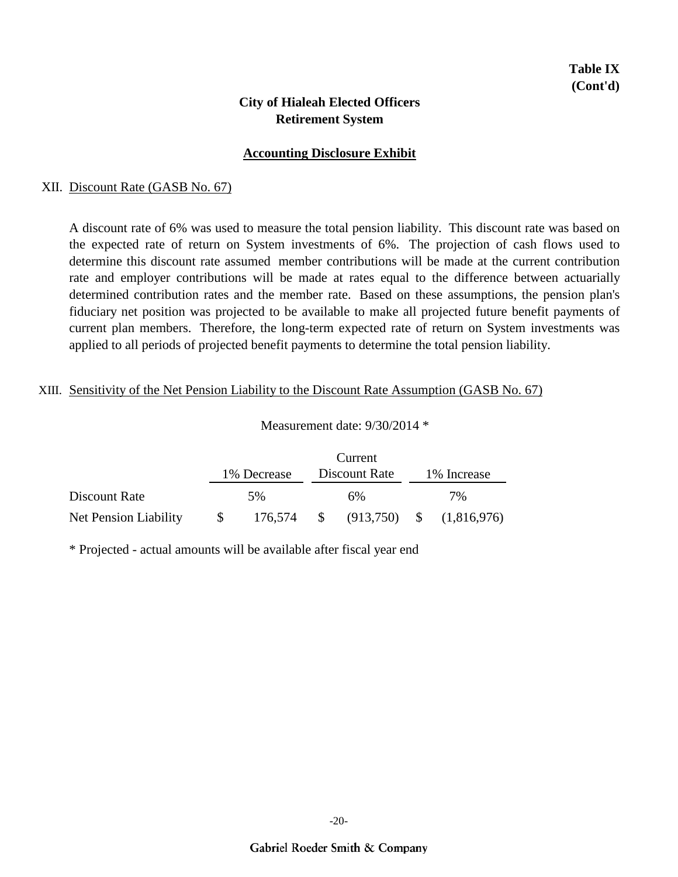#### **Accounting Disclosure Exhibit**

#### XII. Discount Rate (GASB No. 67)

A discount rate of 6% was used to measure the total pension liability. This discount rate was based on the expected rate of return on System investments of 6%. The projection of cash flows used to determine this discount rate assumed member contributions will be made at the current contribution rate and employer contributions will be made at rates equal to the difference between actuarially determined contribution rates and the member rate. Based on these assumptions, the pension plan's fiduciary net position was projected to be available to make all projected future benefit payments of current plan members. Therefore, the long-term expected rate of return on System investments was applied to all periods of projected benefit payments to determine the total pension liability.

#### XIII. Sensitivity of the Net Pension Liability to the Discount Rate Assumption (GASB No. 67)

|                       |    | Current<br>Discount Rate<br>1% Decrease |               |    |  | 1\% Increase                 |  |  |
|-----------------------|----|-----------------------------------------|---------------|----|--|------------------------------|--|--|
| Discount Rate         |    | 5%                                      |               | 6% |  | 7%                           |  |  |
| Net Pension Liability | S. | 176,574                                 | $\mathcal{S}$ |    |  | $(913,750)$ \$ $(1,816,976)$ |  |  |

Measurement date: 9/30/2014 \*

\* Projected - actual amounts will be available after fiscal year end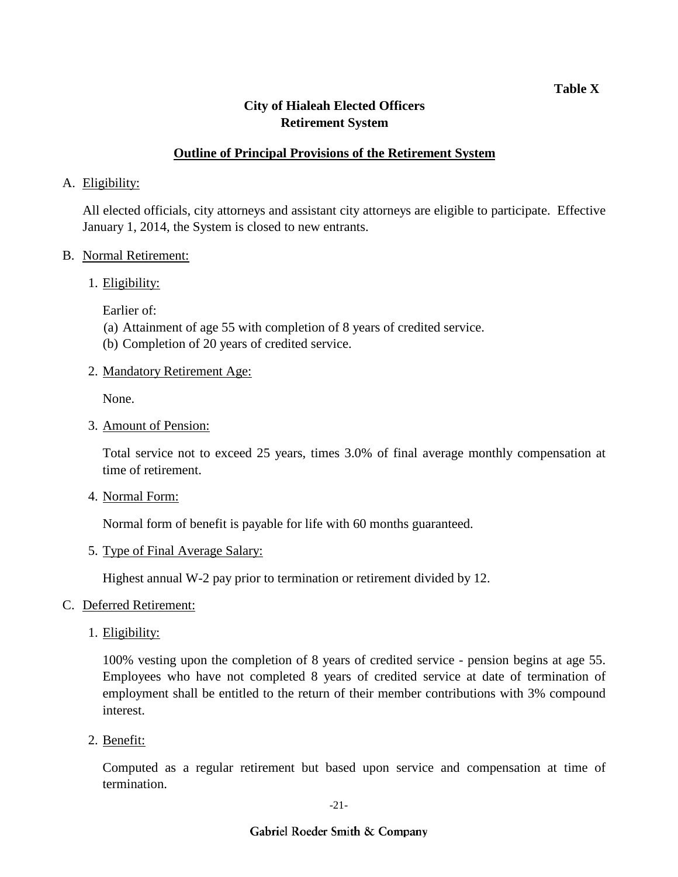### **Outline of Principal Provisions of the Retirement System**

### A. Eligibility:

All elected officials, city attorneys and assistant city attorneys are eligible to participate. Effective January 1, 2014, the System is closed to new entrants.

### B. Normal Retirement:

1. Eligibility:

Earlier of:

- (a) Attainment of age 55 with completion of 8 years of credited service.
- (b) Completion of 20 years of credited service.
- 2. Mandatory Retirement Age:

None.

3. Amount of Pension:

Total service not to exceed 25 years, times 3.0% of final average monthly compensation at time of retirement.

4. Normal Form:

Normal form of benefit is payable for life with 60 months guaranteed.

5. Type of Final Average Salary:

Highest annual W-2 pay prior to termination or retirement divided by 12.

### C. Deferred Retirement:

1. Eligibility:

100% vesting upon the completion of 8 years of credited service - pension begins at age 55. Employees who have not completed 8 years of credited service at date of termination of employment shall be entitled to the return of their member contributions with 3% compound interest.

2. Benefit:

Computed as a regular retirement but based upon service and compensation at time of termination.

-21-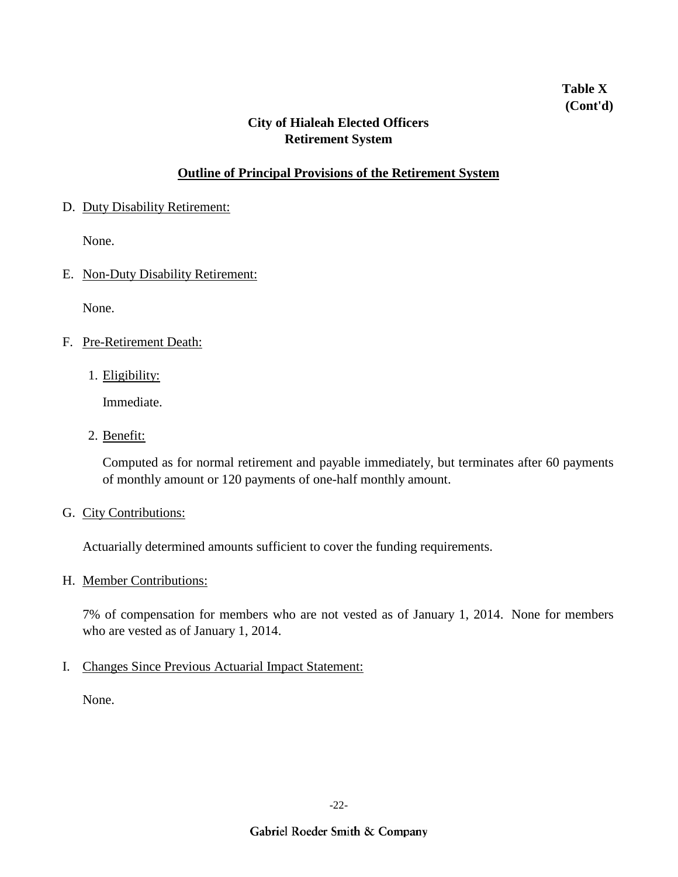# **Table X (Cont'd)**

# **City of Hialeah Elected Officers Retirement System**

### **Outline of Principal Provisions of the Retirement System**

### D. Duty Disability Retirement:

None.

#### E. Non-Duty Disability Retirement:

None.

### F. Pre-Retirement Death:

1. Eligibility:

Immediate.

2. Benefit:

Computed as for normal retirement and payable immediately, but terminates after 60 payments of monthly amount or 120 payments of one-half monthly amount.

G. City Contributions:

Actuarially determined amounts sufficient to cover the funding requirements.

H. Member Contributions:

7% of compensation for members who are not vested as of January 1, 2014. None for members who are vested as of January 1, 2014.

I. Changes Since Previous Actuarial Impact Statement:

None.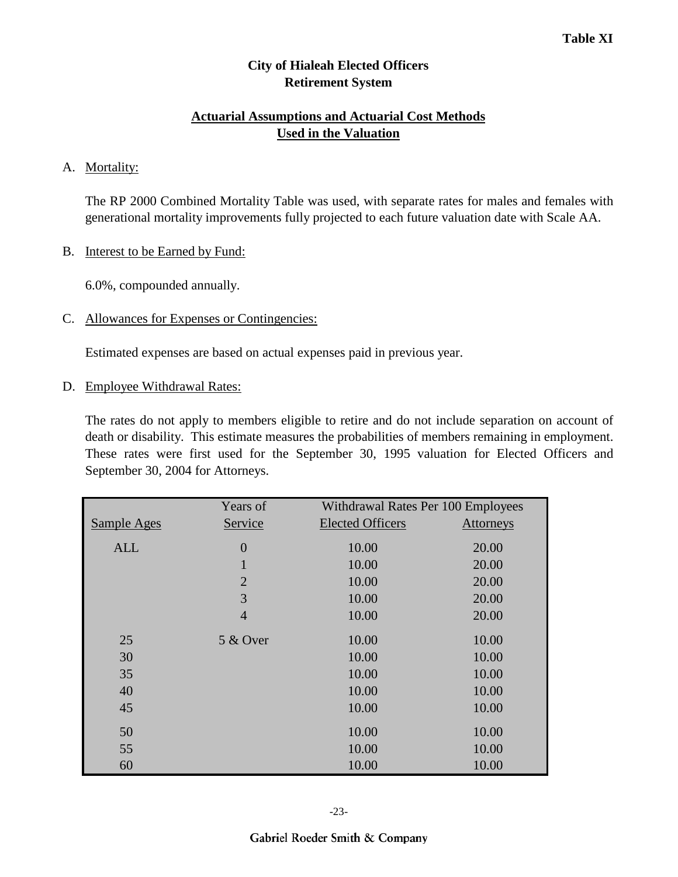# **Used in the Valuation Actuarial Assumptions and Actuarial Cost Methods**

### A. Mortality:

The RP 2000 Combined Mortality Table was used, with separate rates for males and females with generational mortality improvements fully projected to each future valuation date with Scale AA.

## B. Interest to be Earned by Fund:

6.0%, compounded annually.

C. Allowances for Expenses or Contingencies:

Estimated expenses are based on actual expenses paid in previous year.

D. Employee Withdrawal Rates:

The rates do not apply to members eligible to retire and do not include separation on account of death or disability. This estimate measures the probabilities of members remaining in employment. These rates were first used for the September 30, 1995 valuation for Elected Officers and September 30, 2004 for Attorneys.

|                    | Years of         | Withdrawal Rates Per 100 Employees |                  |
|--------------------|------------------|------------------------------------|------------------|
| <b>Sample Ages</b> | Service          | <b>Elected Officers</b>            | <b>Attorneys</b> |
| <b>ALL</b>         | $\boldsymbol{0}$ | 10.00                              | 20.00            |
|                    | 1                | 10.00                              | 20.00            |
|                    | $\overline{2}$   | 10.00                              | 20.00            |
|                    | 3                | 10.00                              | 20.00            |
|                    | $\overline{4}$   | 10.00                              | 20.00            |
| 25                 | 5 & Over         | 10.00                              | 10.00            |
| 30                 |                  | 10.00                              | 10.00            |
| 35                 |                  | 10.00                              | 10.00            |
| 40                 |                  | 10.00                              | 10.00            |
| 45                 |                  | 10.00                              | 10.00            |
| 50                 |                  | 10.00                              | 10.00            |
| 55                 |                  | 10.00                              | 10.00            |
| 60                 |                  | 10.00                              | 10.00            |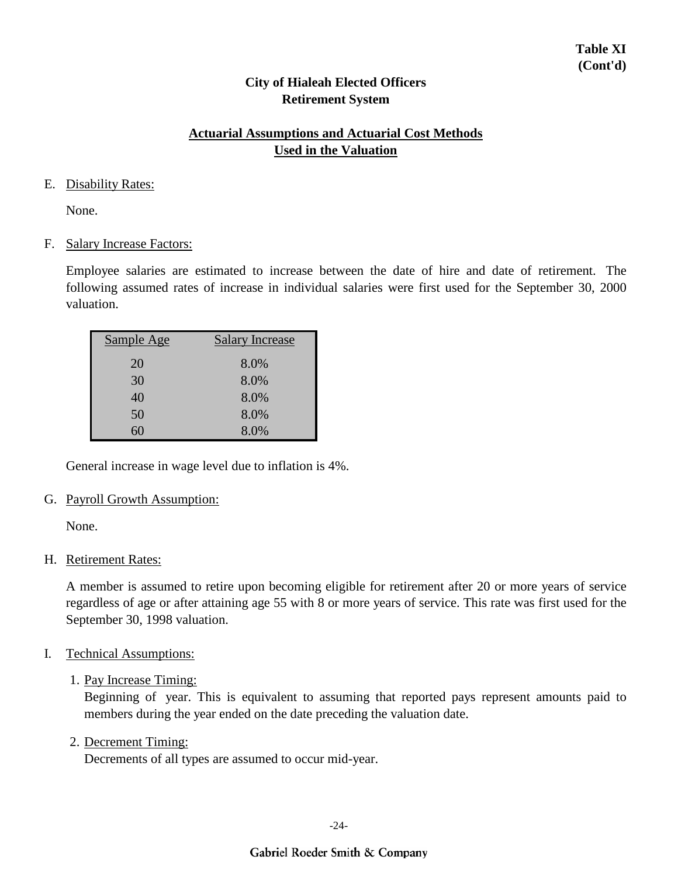# **Table XI (Cont'd)**

# **City of Hialeah Elected Officers Retirement System**

# **Actuarial Assumptions and Actuarial Cost Methods Used in the Valuation**

### E. Disability Rates:

None.

## F. Salary Increase Factors:

Employee salaries are estimated to increase between the date of hire and date of retirement. The following assumed rates of increase in individual salaries were first used for the September 30, 2000 valuation.

| Sample Age | <b>Salary Increase</b> |
|------------|------------------------|
| 20         | 8.0%                   |
| 30         | 8.0%                   |
| 40         | 8.0%                   |
| 50         | 8.0%                   |
| 60         | 8.0%                   |

General increase in wage level due to inflation is 4%.

### G. Payroll Growth Assumption:

None.

### H. Retirement Rates:

A member is assumed to retire upon becoming eligible for retirement after 20 or more years of service regardless of age or after attaining age 55 with 8 or more years of service. This rate was first used for the September 30, 1998 valuation.

### I. Technical Assumptions:

1. Pay Increase Timing:

Beginning of year. This is equivalent to assuming that reported pays represent amounts paid to members during the year ended on the date preceding the valuation date.

# 2. Decrement Timing:

Decrements of all types are assumed to occur mid-year.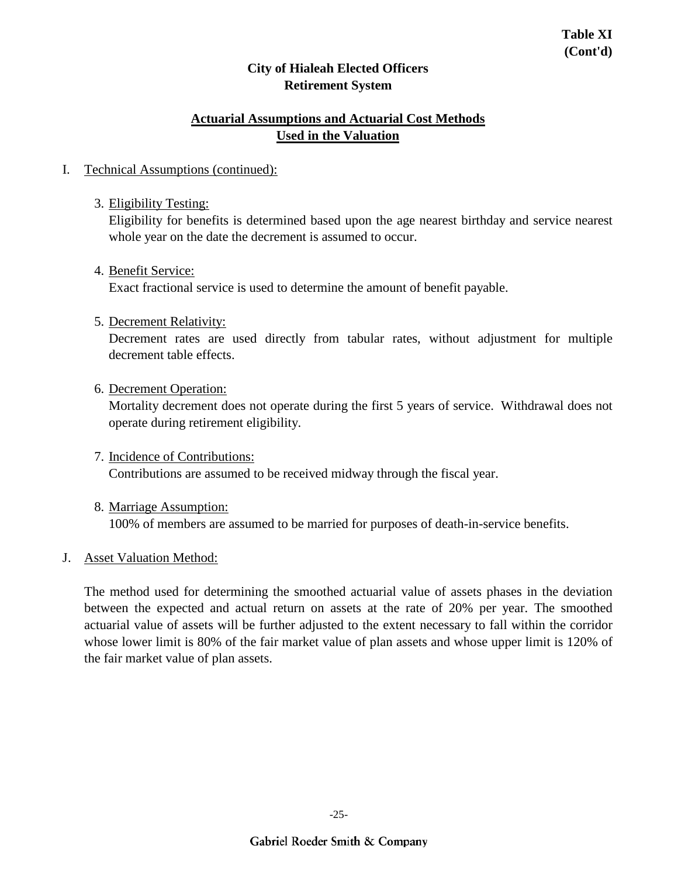# **Actuarial Assumptions and Actuarial Cost Methods Used in the Valuation**

### I. Technical Assumptions (continued):

#### 3. Eligibility Testing:

Eligibility for benefits is determined based upon the age nearest birthday and service nearest whole year on the date the decrement is assumed to occur.

4. Benefit Service:

Exact fractional service is used to determine the amount of benefit payable.

5. Decrement Relativity:

Decrement rates are used directly from tabular rates, without adjustment for multiple decrement table effects.

6. Decrement Operation:

Mortality decrement does not operate during the first 5 years of service. Withdrawal does not operate during retirement eligibility.

- 7. Incidence of Contributions: Contributions are assumed to be received midway through the fiscal year.
- 8. Marriage Assumption:

100% of members are assumed to be married for purposes of death-in-service benefits.

### J. Asset Valuation Method:

The method used for determining the smoothed actuarial value of assets phases in the deviation between the expected and actual return on assets at the rate of 20% per year. The smoothed actuarial value of assets will be further adjusted to the extent necessary to fall within the corridor whose lower limit is 80% of the fair market value of plan assets and whose upper limit is 120% of the fair market value of plan assets.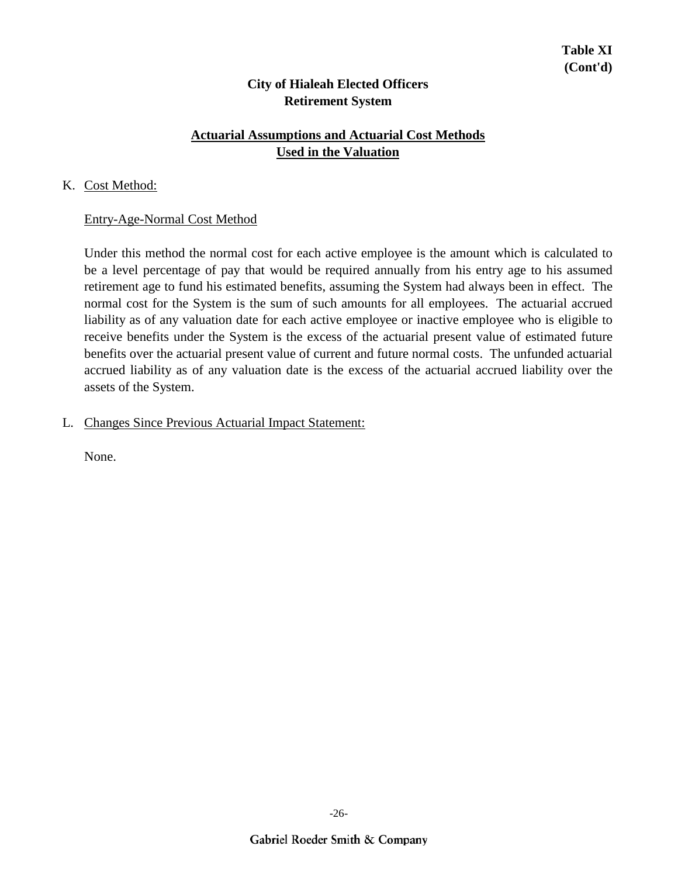## **Actuarial Assumptions and Actuarial Cost Methods Used in the Valuation**

### K. Cost Method:

#### Entry-Age-Normal Cost Method

Under this method the normal cost for each active employee is the amount which is calculated to be a level percentage of pay that would be required annually from his entry age to his assumed retirement age to fund his estimated benefits, assuming the System had always been in effect. The normal cost for the System is the sum of such amounts for all employees. The actuarial accrued liability as of any valuation date for each active employee or inactive employee who is eligible to receive benefits under the System is the excess of the actuarial present value of estimated future benefits over the actuarial present value of current and future normal costs. The unfunded actuarial accrued liability as of any valuation date is the excess of the actuarial accrued liability over the assets of the System.

#### L. Changes Since Previous Actuarial Impact Statement:

None.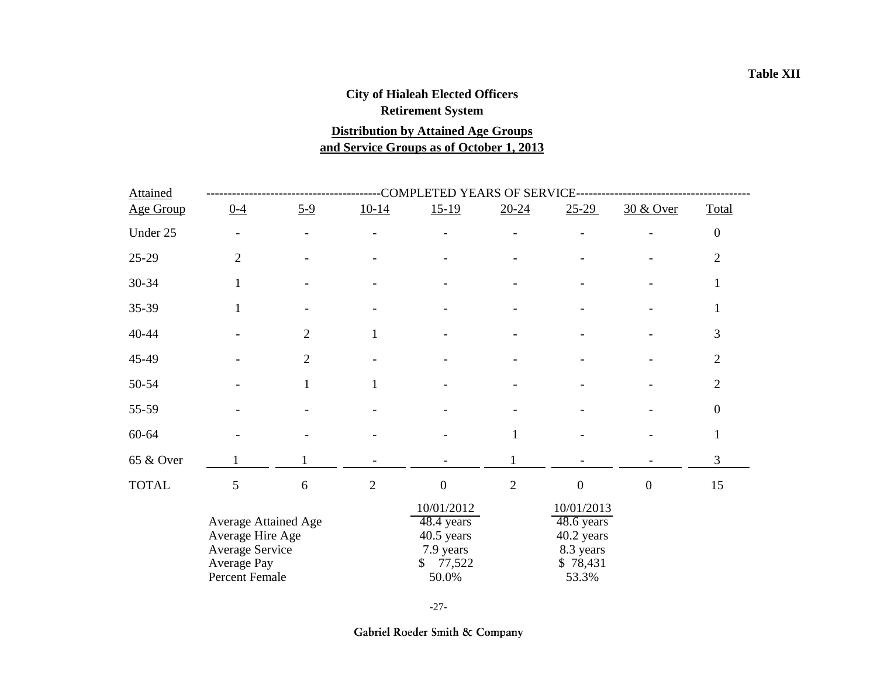# **City of Hialeah Elected Officers Retirement System Distribution by Attained Age Groups**

# **and Service Groups as of October 1, 2013**

| <b>Attained</b> |                                                                                              |                |                | COMPLETED YEARS OF SERVICE                                               |                |                                                                          |                  |                |
|-----------------|----------------------------------------------------------------------------------------------|----------------|----------------|--------------------------------------------------------------------------|----------------|--------------------------------------------------------------------------|------------------|----------------|
| Age Group       | $0 - 4$                                                                                      | $5-9$          | $10-14$        | $15-19$                                                                  | $20 - 24$      | $25-29$                                                                  | 30 & Over        | Total          |
| Under 25        |                                                                                              |                |                |                                                                          |                |                                                                          |                  | $\overline{0}$ |
| $25-29$         | $\overline{2}$                                                                               |                |                |                                                                          |                |                                                                          |                  | $\overline{2}$ |
| 30-34           | 1                                                                                            |                |                |                                                                          |                |                                                                          |                  | $\mathbf{1}$   |
| 35-39           | 1                                                                                            |                |                |                                                                          |                |                                                                          |                  | $\mathbf{1}$   |
| $40 - 44$       |                                                                                              | $\overline{2}$ | 1              |                                                                          |                |                                                                          |                  | 3              |
| 45-49           |                                                                                              | $\overline{2}$ |                |                                                                          |                |                                                                          |                  | $\overline{2}$ |
| 50-54           |                                                                                              |                | $\mathbf{1}$   |                                                                          |                |                                                                          |                  | $\mathfrak{2}$ |
| 55-59           |                                                                                              |                |                |                                                                          |                |                                                                          |                  | $\overline{0}$ |
| 60-64           |                                                                                              |                |                |                                                                          | $\mathbf{1}$   |                                                                          |                  | 1              |
| 65 & Over       |                                                                                              |                |                |                                                                          |                |                                                                          |                  | 3              |
| <b>TOTAL</b>    | 5                                                                                            | 6              | $\overline{2}$ | $\boldsymbol{0}$                                                         | $\overline{2}$ | $\boldsymbol{0}$                                                         | $\boldsymbol{0}$ | 15             |
|                 | Average Attained Age<br>Average Hire Age<br>Average Service<br>Average Pay<br>Percent Female |                |                | 10/01/2012<br>48.4 years<br>40.5 years<br>7.9 years<br>\$77,522<br>50.0% |                | 10/01/2013<br>48.6 years<br>40.2 years<br>8.3 years<br>\$78,431<br>53.3% |                  |                |

Gabriel Roeder Smith & Company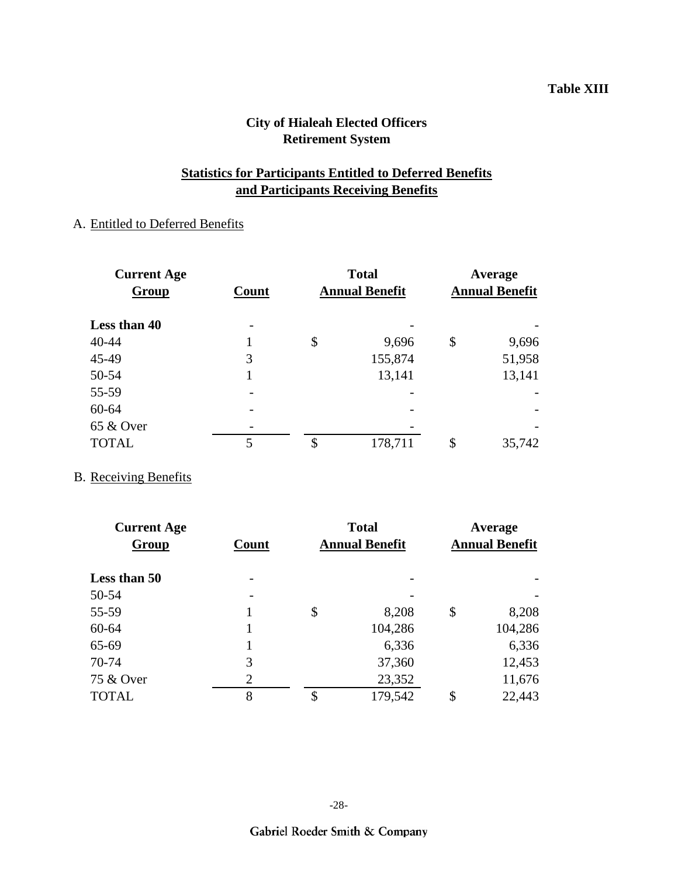# **Statistics for Participants Entitled to Deferred Benefits and Participants Receiving Benefits**

# A. Entitled to Deferred Benefits

| <b>Current Age</b> |       | <b>Total</b>          | Average               |        |  |
|--------------------|-------|-----------------------|-----------------------|--------|--|
| Group              | Count | <b>Annual Benefit</b> | <b>Annual Benefit</b> |        |  |
| Less than 40       |       |                       |                       |        |  |
| 40-44              |       | \$<br>9,696           | \$                    | 9,696  |  |
| 45-49              | 3     | 155,874               |                       | 51,958 |  |
| 50-54              | 1     | 13,141                |                       | 13,141 |  |
| 55-59              |       |                       |                       |        |  |
| 60-64              |       |                       |                       |        |  |
| 65 & Over          |       |                       |                       |        |  |
| <b>TOTAL</b>       | 5     | \$<br>178,711         | \$                    | 35,742 |  |

### B. Receiving Benefits

| <b>Current Age</b> |       |                       | <b>Total</b> | Average |                       |  |
|--------------------|-------|-----------------------|--------------|---------|-----------------------|--|
| <b>Group</b>       | Count | <b>Annual Benefit</b> |              |         | <b>Annual Benefit</b> |  |
| Less than 50       |       |                       |              |         |                       |  |
| 50-54              |       |                       |              |         |                       |  |
| 55-59              |       | \$                    | 8,208        | \$      | 8,208                 |  |
| $60 - 64$          |       |                       | 104,286      |         | 104,286               |  |
| 65-69              | 1     |                       | 6,336        |         | 6,336                 |  |
| 70-74              | 3     |                       | 37,360       |         | 12,453                |  |
| 75 & Over          | 2     |                       | 23,352       |         | 11,676                |  |
| <b>TOTAL</b>       | 8     | \$                    | 179,542      | \$      | 22,443                |  |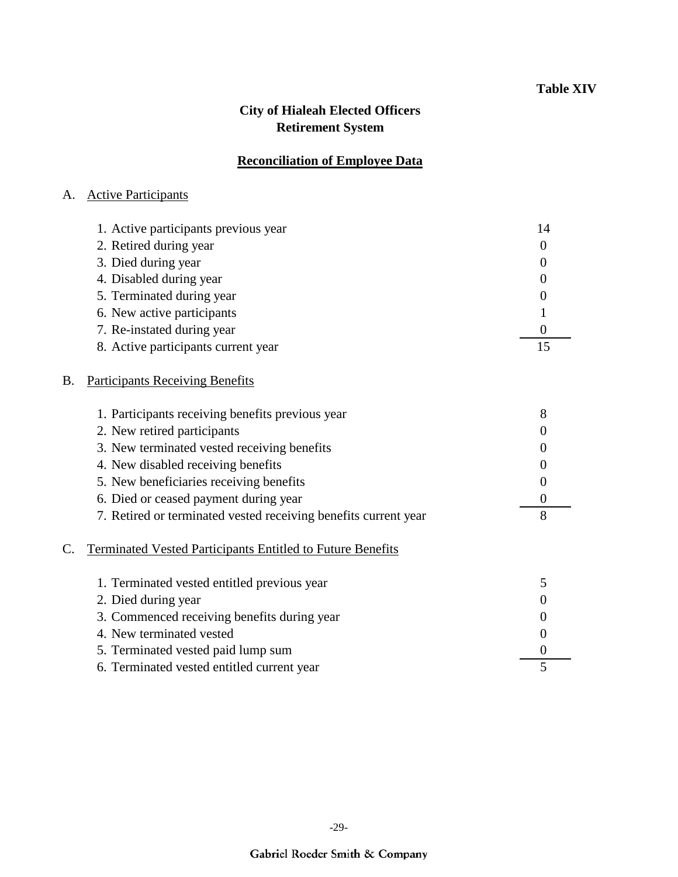#### **Table XIV**

# **City of Hialeah Elected Officers Retirement System**

## **Reconciliation of Employee Data**

# A. Active Participants

|    | 1. Active participants previous year                              | 14               |
|----|-------------------------------------------------------------------|------------------|
|    | 2. Retired during year                                            | $\theta$         |
|    | 3. Died during year                                               | 0                |
|    | 4. Disabled during year                                           | $\theta$         |
|    | 5. Terminated during year                                         | 0                |
|    | 6. New active participants                                        |                  |
|    | 7. Re-instated during year                                        | $\overline{0}$   |
|    | 8. Active participants current year                               | 15               |
| B. | <b>Participants Receiving Benefits</b>                            |                  |
|    | 1. Participants receiving benefits previous year                  | 8                |
|    | 2. New retired participants                                       | 0                |
|    | 3. New terminated vested receiving benefits                       | $\Omega$         |
|    | 4. New disabled receiving benefits                                | $\theta$         |
|    | 5. New beneficiaries receiving benefits                           | $\theta$         |
|    | 6. Died or ceased payment during year                             | $\boldsymbol{0}$ |
|    | 7. Retired or terminated vested receiving benefits current year   | 8                |
| C. | <b>Terminated Vested Participants Entitled to Future Benefits</b> |                  |
|    | 1. Terminated vested entitled previous year                       | 5                |
|    | 2. Died during year                                               | 0                |
|    | 3. Commenced receiving benefits during year                       | $\theta$         |
|    | 4. New terminated vested                                          | $\overline{0}$   |
|    | 5. Terminated vested paid lump sum                                | $\boldsymbol{0}$ |
|    | 6. Terminated vested entitled current year                        | 5                |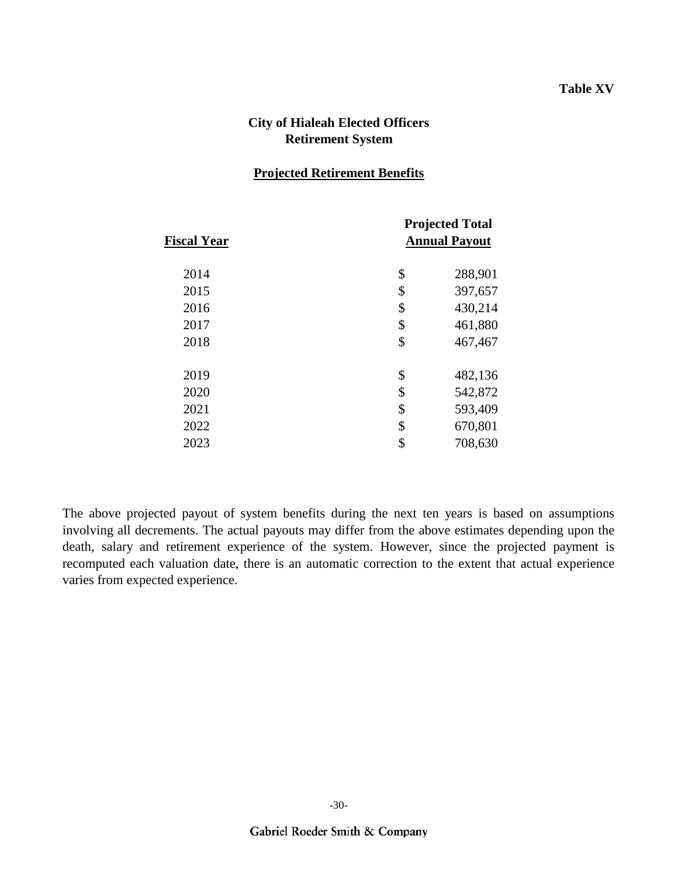#### **Table XV**

### **City of Hialeah Elected Officers Retirement System**

#### **Projected Retirement Benefits**

| <b>Fiscal Year</b> | <b>Projected Total</b><br><b>Annual Payout</b> |         |  |  |
|--------------------|------------------------------------------------|---------|--|--|
| 2014               | \$                                             | 288,901 |  |  |
| 2015               | \$                                             | 397,657 |  |  |
| 2016               | \$                                             | 430,214 |  |  |
| 2017               | \$                                             | 461,880 |  |  |
| 2018               | \$                                             | 467,467 |  |  |
| 2019               | \$                                             | 482,136 |  |  |
| 2020               | \$                                             | 542,872 |  |  |
| 2021               | \$                                             | 593,409 |  |  |
| 2022               | \$                                             | 670,801 |  |  |
| 2023               | \$                                             | 708,630 |  |  |

The above projected payout of system benefits during the next ten years is based on assumptions involving all decrements. The actual payouts may differ from the above estimates depending upon the death, salary and retirement experience of the system. However, since the projected payment is recomputed each valuation date, there is an automatic correction to the extent that actual experience varies from expected experience.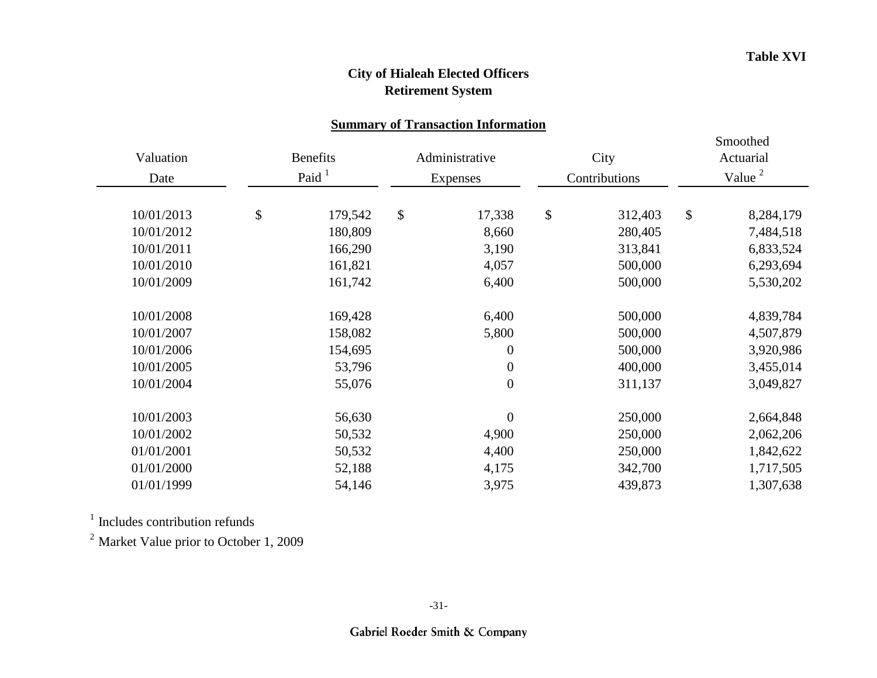# **Retirement System City of Hialeah Elected Officers**

# **Summary of Transaction Information**

| Valuation<br>Date | Administrative<br><b>Benefits</b><br>Paid $1$<br>Expenses |    | City<br>Contributions |    | Smoothed<br>Actuarial<br>Value $2$ |    |           |
|-------------------|-----------------------------------------------------------|----|-----------------------|----|------------------------------------|----|-----------|
|                   |                                                           |    |                       |    |                                    |    |           |
| 10/01/2013        | \$<br>179,542                                             | \$ | 17,338                | \$ | 312,403                            | \$ | 8,284,179 |
| 10/01/2012        | 180,809                                                   |    | 8,660                 |    | 280,405                            |    | 7,484,518 |
| 10/01/2011        | 166,290                                                   |    | 3,190                 |    | 313,841                            |    | 6,833,524 |
| 10/01/2010        | 161,821                                                   |    | 4,057                 |    | 500,000                            |    | 6,293,694 |
| 10/01/2009        | 161,742                                                   |    | 6,400                 |    | 500,000                            |    | 5,530,202 |
| 10/01/2008        | 169,428                                                   |    | 6,400                 |    | 500,000                            |    | 4,839,784 |
| 10/01/2007        | 158,082                                                   |    | 5,800                 |    | 500,000                            |    | 4,507,879 |
| 10/01/2006        | 154,695                                                   |    | $\boldsymbol{0}$      |    | 500,000                            |    | 3,920,986 |
| 10/01/2005        | 53,796                                                    |    | $\boldsymbol{0}$      |    | 400,000                            |    | 3,455,014 |
| 10/01/2004        | 55,076                                                    |    | $\overline{0}$        |    | 311,137                            |    | 3,049,827 |
| 10/01/2003        | 56,630                                                    |    | $\overline{0}$        |    | 250,000                            |    | 2,664,848 |
| 10/01/2002        | 50,532                                                    |    | 4,900                 |    | 250,000                            |    | 2,062,206 |
| 01/01/2001        | 50,532                                                    |    | 4,400                 |    | 250,000                            |    | 1,842,622 |
| 01/01/2000        | 52,188                                                    |    | 4,175                 |    | 342,700                            |    | 1,717,505 |
| 01/01/1999        | 54,146                                                    |    | 3,975                 |    | 439,873                            |    | 1,307,638 |

<sup>1</sup> Includes contribution refunds

<sup>2</sup> Market Value prior to October 1, 2009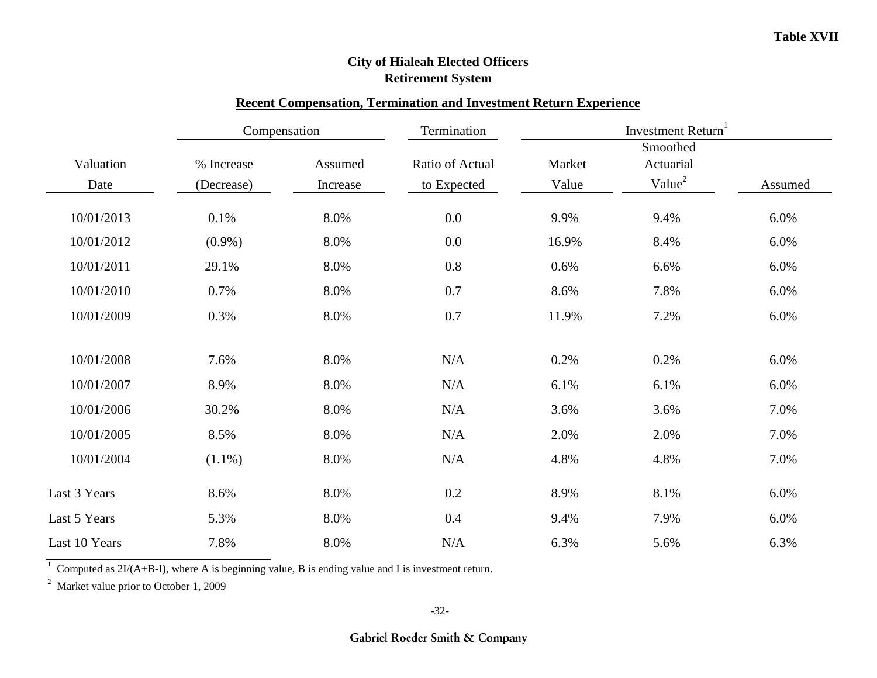| <b>Recent Compensation, Termination and Investment Return Experience</b> |  |
|--------------------------------------------------------------------------|--|
|--------------------------------------------------------------------------|--|

|                   | Compensation             |                     | Termination                    | Investment Return <sup>1</sup> |                                    |         |  |  |
|-------------------|--------------------------|---------------------|--------------------------------|--------------------------------|------------------------------------|---------|--|--|
| Valuation<br>Date | % Increase<br>(Decrease) | Assumed<br>Increase | Ratio of Actual<br>to Expected | Market<br>Value                | Smoothed<br>Actuarial<br>Value $2$ | Assumed |  |  |
| 10/01/2013        | 0.1%                     | 8.0%                | 0.0                            | 9.9%                           | 9.4%                               | 6.0%    |  |  |
| 10/01/2012        | $(0.9\%)$                | 8.0%                | 0.0                            | 16.9%                          | 8.4%                               | 6.0%    |  |  |
| 10/01/2011        | 29.1%                    | 8.0%                | 0.8                            | 0.6%                           | 6.6%                               | 6.0%    |  |  |
| 10/01/2010        | 0.7%                     | 8.0%                | 0.7                            | 8.6%                           | 7.8%                               | 6.0%    |  |  |
| 10/01/2009        | 0.3%                     | 8.0%                | 0.7                            | 11.9%                          | 7.2%                               | 6.0%    |  |  |
| 10/01/2008        | 7.6%                     | 8.0%                | N/A                            | 0.2%                           | 0.2%                               | 6.0%    |  |  |
| 10/01/2007        | 8.9%                     | 8.0%                | $\rm N/A$                      | 6.1%                           | 6.1%                               | 6.0%    |  |  |
| 10/01/2006        | 30.2%                    | 8.0%                | N/A                            | 3.6%                           | 3.6%                               | 7.0%    |  |  |
| 10/01/2005        | 8.5%                     | 8.0%                | N/A                            | 2.0%                           | 2.0%                               | 7.0%    |  |  |
| 10/01/2004        | $(1.1\%)$                | 8.0%                | $\rm N/A$                      | 4.8%                           | 4.8%                               | 7.0%    |  |  |
| Last 3 Years      | 8.6%                     | 8.0%                | 0.2                            | 8.9%                           | 8.1%                               | 6.0%    |  |  |
| Last 5 Years      | 5.3%                     | 8.0%                | 0.4                            | 9.4%                           | 7.9%                               | 6.0%    |  |  |
| Last 10 Years     | 7.8%                     | 8.0%                | N/A                            | 6.3%                           | 5.6%                               | 6.3%    |  |  |

<sup>1</sup> Computed as  $2I/(A+B-I)$ , where A is beginning value, B is ending value and I is investment return.

<sup>2</sup> Market value prior to October 1, 2009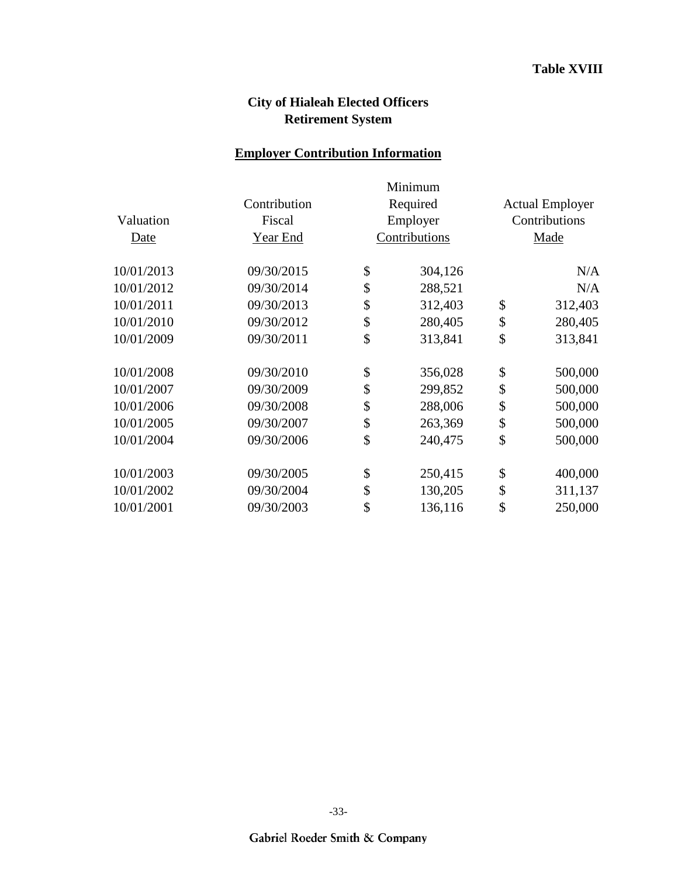#### **Employer Contribution Information**

| Valuation<br>Date | Contribution<br>Fiscal<br>Year End |    | Minimum<br>Required<br>Employer<br>Contributions | <b>Actual Employer</b><br>Contributions<br>Made |         |  |
|-------------------|------------------------------------|----|--------------------------------------------------|-------------------------------------------------|---------|--|
| 10/01/2013        | 09/30/2015                         | \$ | 304,126                                          |                                                 | N/A     |  |
| 10/01/2012        | 09/30/2014                         | \$ | 288,521                                          |                                                 | N/A     |  |
| 10/01/2011        | 09/30/2013                         | \$ | 312,403                                          | \$                                              | 312,403 |  |
| 10/01/2010        | 09/30/2012                         | \$ | 280,405                                          | \$                                              | 280,405 |  |
| 10/01/2009        | 09/30/2011                         | \$ | 313,841                                          | \$                                              | 313,841 |  |
| 10/01/2008        | 09/30/2010                         | \$ | 356,028                                          | \$                                              | 500,000 |  |
| 10/01/2007        | 09/30/2009                         | \$ | 299,852                                          | \$                                              | 500,000 |  |
| 10/01/2006        | 09/30/2008                         | \$ | 288,006                                          | \$                                              | 500,000 |  |
| 10/01/2005        | 09/30/2007                         | \$ | 263,369                                          | \$                                              | 500,000 |  |
| 10/01/2004        | 09/30/2006                         | \$ | 240,475                                          | \$                                              | 500,000 |  |
| 10/01/2003        | 09/30/2005                         | \$ | 250,415                                          | \$                                              | 400,000 |  |
| 10/01/2002        | 09/30/2004                         | \$ | 130,205                                          | \$                                              | 311,137 |  |
| 10/01/2001        | 09/30/2003                         | \$ | 136,116                                          | \$                                              | 250,000 |  |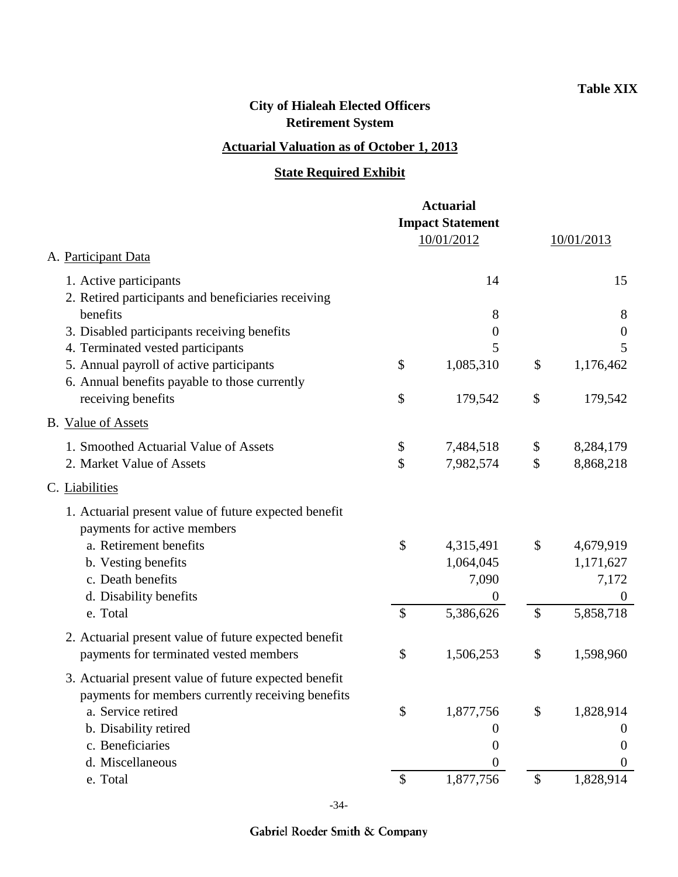**Table XIX**

# **City of Hialeah Elected Officers Retirement System**

# **Actuarial Valuation as of October 1, 2013**

# **State Required Exhibit**

|                                                       | <b>Actuarial</b>          |                         |                           |                  |  |
|-------------------------------------------------------|---------------------------|-------------------------|---------------------------|------------------|--|
|                                                       |                           | <b>Impact Statement</b> |                           |                  |  |
|                                                       |                           | 10/01/2012              |                           | 10/01/2013       |  |
| A. Participant Data                                   |                           |                         |                           |                  |  |
| 1. Active participants                                |                           | 14                      |                           | 15               |  |
| 2. Retired participants and beneficiaries receiving   |                           |                         |                           |                  |  |
| benefits                                              |                           | 8                       |                           | 8                |  |
| 3. Disabled participants receiving benefits           |                           | 0                       |                           | $\boldsymbol{0}$ |  |
| 4. Terminated vested participants                     |                           | 5                       |                           | 5                |  |
| 5. Annual payroll of active participants              | \$                        | 1,085,310               | \$                        | 1,176,462        |  |
| 6. Annual benefits payable to those currently         |                           |                         |                           |                  |  |
| receiving benefits                                    | \$                        | 179,542                 | \$                        | 179,542          |  |
| <b>B.</b> Value of Assets                             |                           |                         |                           |                  |  |
| 1. Smoothed Actuarial Value of Assets                 | \$                        | 7,484,518               | \$                        | 8,284,179        |  |
| 2. Market Value of Assets                             | \$                        | 7,982,574               | \$                        | 8,868,218        |  |
| C. Liabilities                                        |                           |                         |                           |                  |  |
| 1. Actuarial present value of future expected benefit |                           |                         |                           |                  |  |
| payments for active members                           |                           |                         |                           |                  |  |
| a. Retirement benefits                                | \$                        | 4,315,491               | \$                        | 4,679,919        |  |
| b. Vesting benefits                                   |                           | 1,064,045               |                           | 1,171,627        |  |
| c. Death benefits                                     |                           | 7,090                   |                           | 7,172            |  |
| d. Disability benefits                                |                           | $\boldsymbol{0}$        |                           | $\overline{0}$   |  |
| e. Total                                              | $\boldsymbol{\mathsf{S}}$ | 5,386,626               | $\boldsymbol{\mathsf{S}}$ | 5,858,718        |  |
| 2. Actuarial present value of future expected benefit |                           |                         |                           |                  |  |
| payments for terminated vested members                | \$                        | 1,506,253               | \$                        | 1,598,960        |  |
| 3. Actuarial present value of future expected benefit |                           |                         |                           |                  |  |
| payments for members currently receiving benefits     |                           |                         |                           |                  |  |
| a. Service retired                                    | \$                        | 1,877,756               | \$                        | 1,828,914        |  |
| b. Disability retired                                 |                           | $\theta$                |                           | $\theta$         |  |
| c. Beneficiaries                                      |                           | 0                       |                           | $\theta$         |  |
| d. Miscellaneous                                      |                           | $\overline{0}$          |                           | $\boldsymbol{0}$ |  |
| e. Total                                              | $\boldsymbol{\mathsf{S}}$ | 1,877,756               | \$                        | 1,828,914        |  |

Gabriel Roeder Smith & Company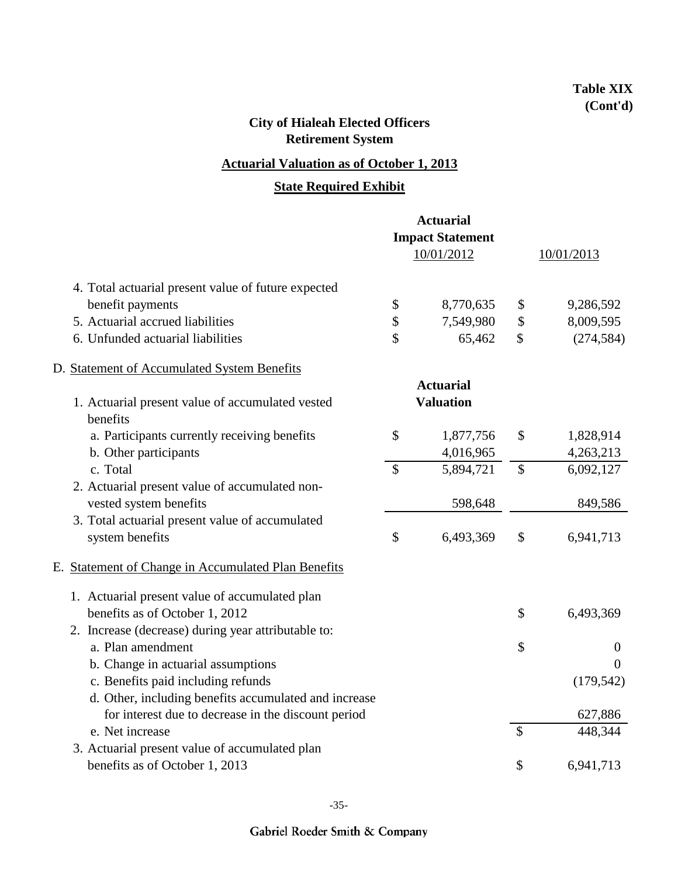# **Table XIX (Cont'd)**

# **City of Hialeah Elected Officers Retirement System**

# **Actuarial Valuation as of October 1, 2013**

# **State Required Exhibit**

|                                                              |               | <b>Actuarial</b><br><b>Impact Statement</b> |              |                |
|--------------------------------------------------------------|---------------|---------------------------------------------|--------------|----------------|
|                                                              |               | 10/01/2012                                  | 10/01/2013   |                |
| 4. Total actuarial present value of future expected          |               |                                             |              |                |
| benefit payments                                             | \$            | 8,770,635                                   | \$           | 9,286,592      |
| 5. Actuarial accrued liabilities                             | \$            | 7,549,980                                   | \$           | 8,009,595      |
| 6. Unfunded actuarial liabilities                            | \$            | 65,462                                      | \$           | (274, 584)     |
| D. Statement of Accumulated System Benefits                  |               |                                             |              |                |
|                                                              |               | <b>Actuarial</b>                            |              |                |
| 1. Actuarial present value of accumulated vested<br>benefits |               | <b>Valuation</b>                            |              |                |
| a. Participants currently receiving benefits                 | \$            | 1,877,756                                   | \$           | 1,828,914      |
| b. Other participants                                        |               | 4,016,965                                   |              | 4,263,213      |
| c. Total                                                     | $\mathcal{S}$ | 5,894,721                                   | $\mathbb{S}$ | 6,092,127      |
| 2. Actuarial present value of accumulated non-               |               |                                             |              |                |
| vested system benefits                                       |               | 598,648                                     |              | 849,586        |
| 3. Total actuarial present value of accumulated              |               |                                             |              |                |
| system benefits                                              | \$            | 6,493,369                                   | \$           | 6,941,713      |
| E. Statement of Change in Accumulated Plan Benefits          |               |                                             |              |                |
| 1. Actuarial present value of accumulated plan               |               |                                             |              |                |
| benefits as of October 1, 2012                               |               |                                             | \$           | 6,493,369      |
| 2. Increase (decrease) during year attributable to:          |               |                                             |              |                |
| a. Plan amendment                                            |               |                                             | \$           | $\theta$       |
| b. Change in actuarial assumptions                           |               |                                             |              | $\overline{0}$ |
| c. Benefits paid including refunds                           |               |                                             |              | (179, 542)     |
| d. Other, including benefits accumulated and increase        |               |                                             |              |                |
| for interest due to decrease in the discount period          |               |                                             |              | 627,886        |
| e. Net increase                                              |               |                                             | \$           | 448,344        |
| 3. Actuarial present value of accumulated plan               |               |                                             |              |                |
| benefits as of October 1, 2013                               |               |                                             | \$           | 6,941,713      |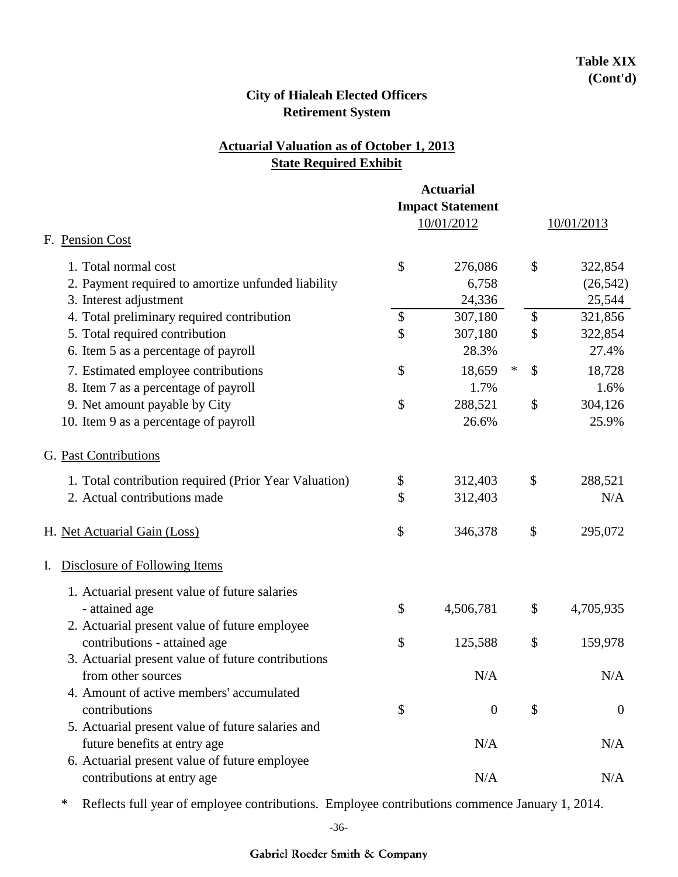**Table XIX (Cont'd)**

# **City of Hialeah Elected Officers Retirement System**

# **State Required Exhibit Actuarial Valuation as of October 1, 2013**

|                                                       | <b>Actuarial</b><br><b>Impact Statement</b><br>10/01/2012 |        | 10/01/2013                |              |
|-------------------------------------------------------|-----------------------------------------------------------|--------|---------------------------|--------------|
| F. Pension Cost                                       |                                                           |        |                           |              |
| 1. Total normal cost                                  | \$<br>276,086                                             |        | \$                        | 322,854      |
| 2. Payment required to amortize unfunded liability    | 6,758                                                     |        |                           | (26, 542)    |
| 3. Interest adjustment                                | 24,336                                                    |        |                           | 25,544       |
| 4. Total preliminary required contribution            | \$<br>307,180                                             |        | $\boldsymbol{\mathsf{S}}$ | 321,856      |
| 5. Total required contribution                        | \$<br>307,180                                             |        | \$                        | 322,854      |
| 6. Item 5 as a percentage of payroll                  | 28.3%                                                     |        |                           | 27.4%        |
| 7. Estimated employee contributions                   | \$<br>18,659                                              | $\ast$ | \$                        | 18,728       |
| 8. Item 7 as a percentage of payroll                  | 1.7%                                                      |        |                           | 1.6%         |
| 9. Net amount payable by City                         | \$<br>288,521                                             |        | \$                        | 304,126      |
| 10. Item 9 as a percentage of payroll                 | 26.6%                                                     |        |                           | 25.9%        |
| G. Past Contributions                                 |                                                           |        |                           |              |
| 1. Total contribution required (Prior Year Valuation) | \$<br>312,403                                             |        | \$                        | 288,521      |
| 2. Actual contributions made                          | \$<br>312,403                                             |        |                           | N/A          |
| H. Net Actuarial Gain (Loss)                          | \$<br>346,378                                             |        | \$                        | 295,072      |
| Disclosure of Following Items<br>I.                   |                                                           |        |                           |              |
| 1. Actuarial present value of future salaries         |                                                           |        |                           |              |
| - attained age                                        | \$<br>4,506,781                                           |        | \$                        | 4,705,935    |
| 2. Actuarial present value of future employee         |                                                           |        |                           |              |
| contributions - attained age                          | \$<br>125,588                                             |        | \$                        | 159,978      |
| 3. Actuarial present value of future contributions    |                                                           |        |                           |              |
| from other sources                                    | N/A                                                       |        |                           | N/A          |
| 4. Amount of active members' accumulated              |                                                           |        |                           |              |
| contributions                                         | \$<br>$\overline{0}$                                      |        | \$                        | $\mathbf{0}$ |
| 5. Actuarial present value of future salaries and     |                                                           |        |                           |              |
| future benefits at entry age                          | N/A                                                       |        |                           | N/A          |
| 6. Actuarial present value of future employee         |                                                           |        |                           |              |
| contributions at entry age                            | N/A                                                       |        |                           | N/A          |

\* Reflects full year of employee contributions. Employee contributions commence January 1, 2014.

### Gabriel Roeder Smith & Company